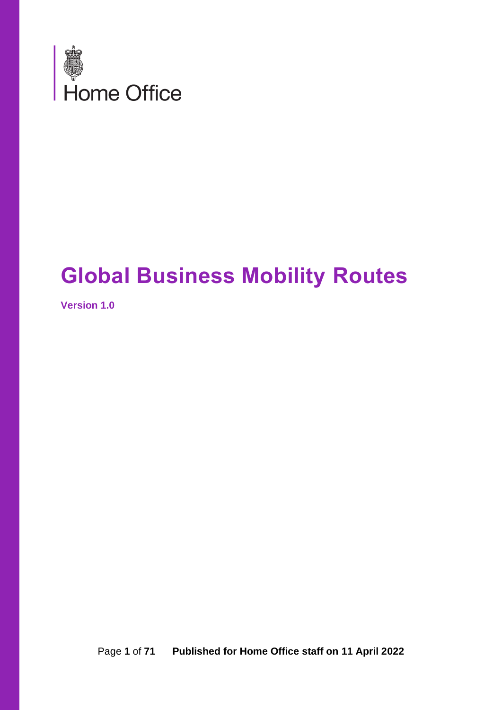

# **Global Business Mobility Routes**

**Version 1.0**

Page **1** of **71 Published for Home Office staff on 11 April 2022**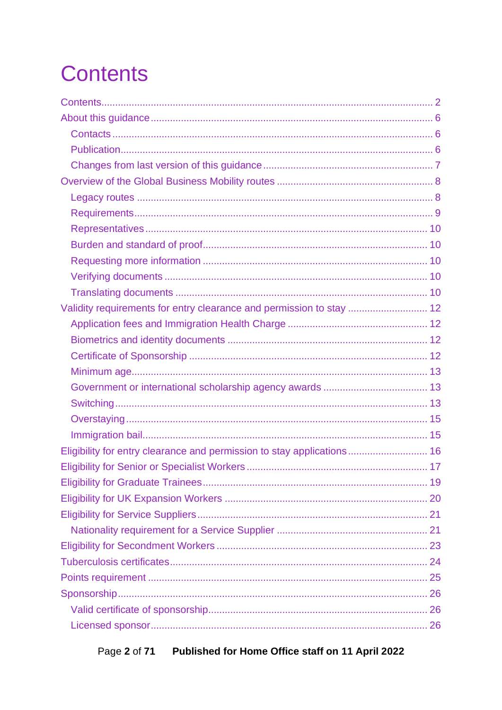# <span id="page-1-0"></span>**Contents**

| Validity requirements for entry clearance and permission to stay  12   |  |
|------------------------------------------------------------------------|--|
|                                                                        |  |
|                                                                        |  |
|                                                                        |  |
|                                                                        |  |
|                                                                        |  |
|                                                                        |  |
|                                                                        |  |
|                                                                        |  |
| Eligibility for entry clearance and permission to stay applications 16 |  |
|                                                                        |  |
|                                                                        |  |
|                                                                        |  |
|                                                                        |  |
|                                                                        |  |
|                                                                        |  |
|                                                                        |  |
|                                                                        |  |
|                                                                        |  |
|                                                                        |  |
|                                                                        |  |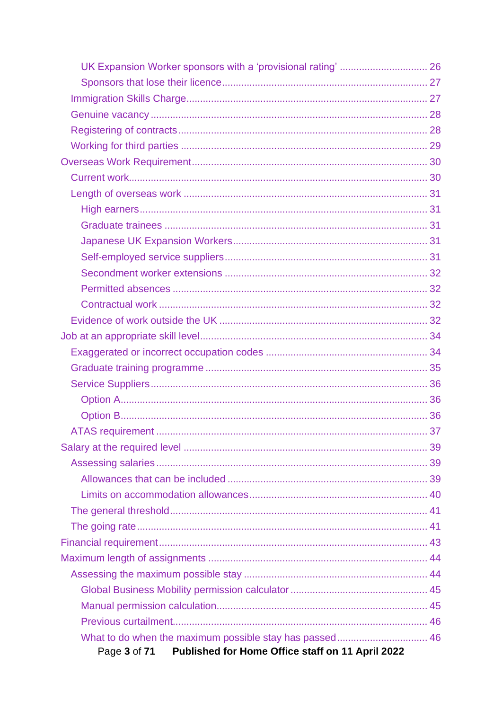| Published for Home Office staff on 11 April 2022<br>Page 3 of 71 |  |
|------------------------------------------------------------------|--|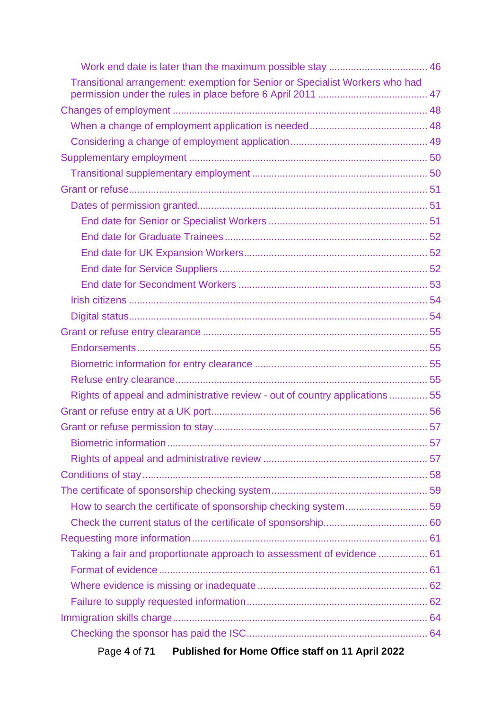| Transitional arrangement: exemption for Senior or Specialist Workers who had |  |
|------------------------------------------------------------------------------|--|
|                                                                              |  |
|                                                                              |  |
|                                                                              |  |
|                                                                              |  |
|                                                                              |  |
|                                                                              |  |
|                                                                              |  |
|                                                                              |  |
|                                                                              |  |
|                                                                              |  |
|                                                                              |  |
|                                                                              |  |
|                                                                              |  |
|                                                                              |  |
|                                                                              |  |
|                                                                              |  |
|                                                                              |  |
|                                                                              |  |
|                                                                              |  |
| Rights of appeal and administrative review - out of country applications  55 |  |
|                                                                              |  |
|                                                                              |  |
|                                                                              |  |
|                                                                              |  |
|                                                                              |  |
|                                                                              |  |
|                                                                              |  |
|                                                                              |  |
|                                                                              |  |
| Taking a fair and proportionate approach to assessment of evidence  61       |  |
|                                                                              |  |
|                                                                              |  |
|                                                                              |  |
|                                                                              |  |
|                                                                              |  |
| Published for Home Office staff on 11 April 2022<br>Page 4 of 71             |  |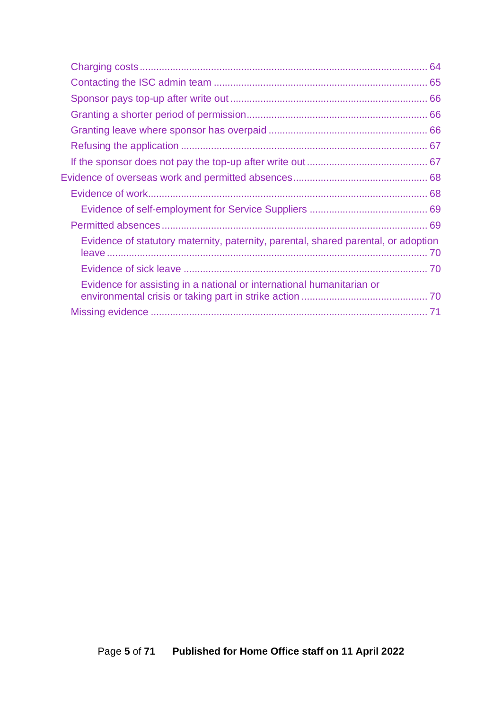| Evidence of statutory maternity, paternity, parental, shared parental, or adoption |  |
|------------------------------------------------------------------------------------|--|
|                                                                                    |  |
| Evidence for assisting in a national or international humanitarian or              |  |
|                                                                                    |  |
|                                                                                    |  |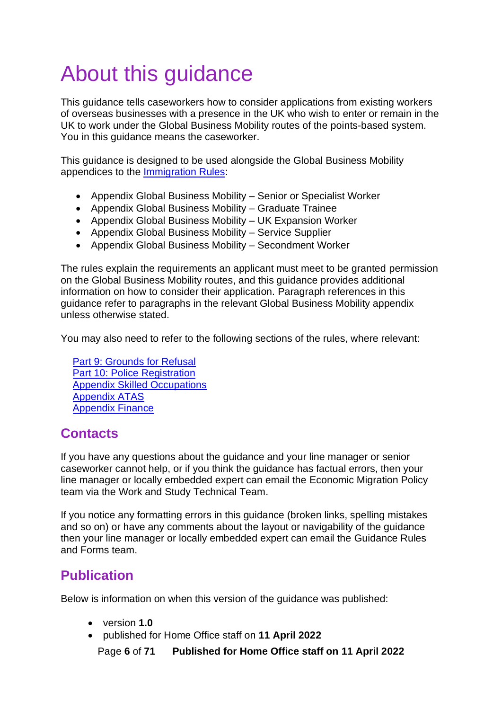# <span id="page-5-0"></span>About this guidance

This guidance tells caseworkers how to consider applications from existing workers of overseas businesses with a presence in the UK who wish to enter or remain in the UK to work under the Global Business Mobility routes of the points-based system. You in this guidance means the caseworker.

This guidance is designed to be used alongside the Global Business Mobility appendices to the [Immigration Rules:](https://www.gov.uk/guidance/immigration-rules/immigration-rules-appendix-intra-company-routes)

- Appendix Global Business Mobility Senior or Specialist Worker
- Appendix Global Business Mobility Graduate Trainee
- Appendix Global Business Mobility UK Expansion Worker
- Appendix Global Business Mobility Service Supplier
- Appendix Global Business Mobility Secondment Worker

The rules explain the requirements an applicant must meet to be granted permission on the Global Business Mobility routes, and this guidance provides additional information on how to consider their application. Paragraph references in this guidance refer to paragraphs in the relevant Global Business Mobility appendix unless otherwise stated.

You may also need to refer to the following sections of the rules, where relevant:

[Part 9: Grounds for Refusal](https://www.gov.uk/guidance/immigration-rules/immigration-rules-part-9-grounds-for-refusal) [Part 10: Police Registration](https://www.gov.uk/guidance/immigration-rules/immigration-rules-part-10-registering-with-the-police) [Appendix Skilled Occupations](https://www.gov.uk/guidance/immigration-rules/immigration-rules-appendix-skilled-occupations) [Appendix ATAS](https://www.gov.uk/guidance/immigration-rules/immigration-rules-appendix-atas-academic-technology-approval-scheme-atas) [Appendix Finance](https://www.gov.uk/guidance/immigration-rules/immigration-rules-appendix-finance)

## <span id="page-5-1"></span>**Contacts**

If you have any questions about the guidance and your line manager or senior caseworker cannot help, or if you think the guidance has factual errors, then your line manager or locally embedded expert can email the Economic Migration Policy team via the Work and Study Technical Team.

If you notice any formatting errors in this guidance (broken links, spelling mistakes and so on) or have any comments about the layout or navigability of the guidance then your line manager or locally embedded expert can email the Guidance Rules and Forms team.

## <span id="page-5-2"></span>**Publication**

Below is information on when this version of the guidance was published:

- version **1.0**
- published for Home Office staff on **11 April 2022**

Page **6** of **71 Published for Home Office staff on 11 April 2022**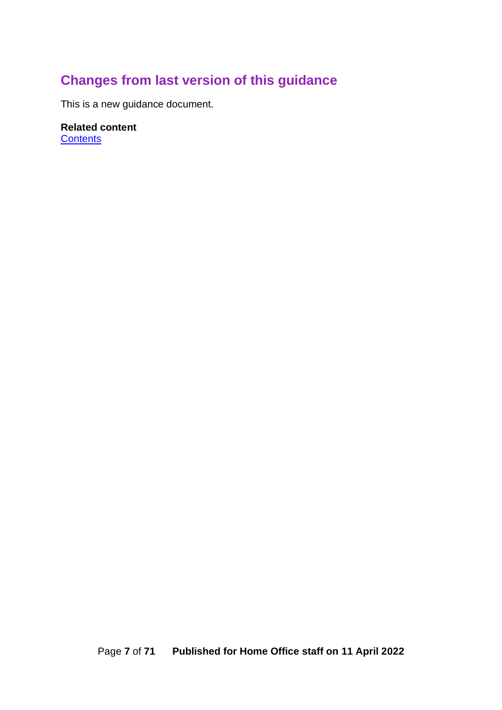## <span id="page-6-0"></span>**Changes from last version of this guidance**

This is a new guidance document.

## **Related content**

**[Contents](#page-1-0)**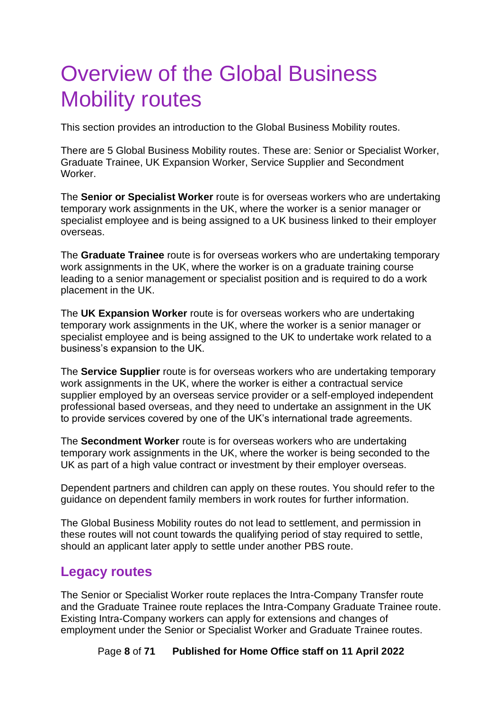# <span id="page-7-0"></span>Overview of the Global Business Mobility routes

This section provides an introduction to the Global Business Mobility routes.

There are 5 Global Business Mobility routes. These are: Senior or Specialist Worker, Graduate Trainee, UK Expansion Worker, Service Supplier and Secondment Worker.

The **Senior or Specialist Worker** route is for overseas workers who are undertaking temporary work assignments in the UK, where the worker is a senior manager or specialist employee and is being assigned to a UK business linked to their employer overseas.

The **Graduate Trainee** route is for overseas workers who are undertaking temporary work assignments in the UK, where the worker is on a graduate training course leading to a senior management or specialist position and is required to do a work placement in the UK.

The **UK Expansion Worker** route is for overseas workers who are undertaking temporary work assignments in the UK, where the worker is a senior manager or specialist employee and is being assigned to the UK to undertake work related to a business's expansion to the UK.

The **Service Supplier** route is for overseas workers who are undertaking temporary work assignments in the UK, where the worker is either a contractual service supplier employed by an overseas service provider or a self-employed independent professional based overseas, and they need to undertake an assignment in the UK to provide services covered by one of the UK's international trade agreements.

The **Secondment Worker** route is for overseas workers who are undertaking temporary work assignments in the UK, where the worker is being seconded to the UK as part of a high value contract or investment by their employer overseas.

Dependent partners and children can apply on these routes. You should refer to the guidance on dependent family members in work routes for further information.

The Global Business Mobility routes do not lead to settlement, and permission in these routes will not count towards the qualifying period of stay required to settle, should an applicant later apply to settle under another PBS route.

### <span id="page-7-1"></span>**Legacy routes**

The Senior or Specialist Worker route replaces the Intra-Company Transfer route and the Graduate Trainee route replaces the Intra-Company Graduate Trainee route. Existing Intra-Company workers can apply for extensions and changes of employment under the Senior or Specialist Worker and Graduate Trainee routes.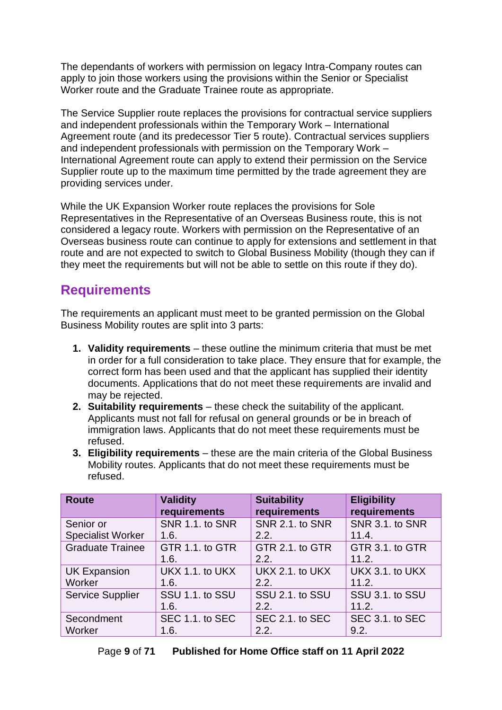The dependants of workers with permission on legacy Intra-Company routes can apply to join those workers using the provisions within the Senior or Specialist Worker route and the Graduate Trainee route as appropriate.

The Service Supplier route replaces the provisions for contractual service suppliers and independent professionals within the Temporary Work – International Agreement route (and its predecessor Tier 5 route). Contractual services suppliers and independent professionals with permission on the Temporary Work – International Agreement route can apply to extend their permission on the Service Supplier route up to the maximum time permitted by the trade agreement they are providing services under.

While the UK Expansion Worker route replaces the provisions for Sole Representatives in the Representative of an Overseas Business route, this is not considered a legacy route. Workers with permission on the Representative of an Overseas business route can continue to apply for extensions and settlement in that route and are not expected to switch to Global Business Mobility (though they can if they meet the requirements but will not be able to settle on this route if they do).

## <span id="page-8-0"></span>**Requirements**

The requirements an applicant must meet to be granted permission on the Global Business Mobility routes are split into 3 parts:

- **1. Validity requirements**  these outline the minimum criteria that must be met in order for a full consideration to take place. They ensure that for example, the correct form has been used and that the applicant has supplied their identity documents. Applications that do not meet these requirements are invalid and may be rejected.
- **2. Suitability requirements** these check the suitability of the applicant. Applicants must not fall for refusal on general grounds or be in breach of immigration laws. Applicants that do not meet these requirements must be refused.
- **3. Eligibility requirements** these are the main criteria of the Global Business Mobility routes. Applicants that do not meet these requirements must be refused.

| <b>Route</b>             | <b>Validity</b><br>requirements | <b>Suitability</b><br>requirements | <b>Eligibility</b><br>requirements |
|--------------------------|---------------------------------|------------------------------------|------------------------------------|
| Senior or                | SNR 1.1. to SNR                 | SNR 2.1. to SNR                    | <b>SNR 3.1. to SNR</b>             |
| <b>Specialist Worker</b> | 1.6.                            | 2.2.                               | 11.4.                              |
| <b>Graduate Trainee</b>  | GTR 1.1. to GTR                 | GTR 2.1. to GTR                    | GTR 3.1. to GTR                    |
|                          | 1.6.                            | 2.2.                               | 11.2.                              |
| <b>UK Expansion</b>      | UKX 1.1. to UKX                 | UKX 2.1. to UKX                    | UKX 3.1. to UKX                    |
| Worker                   | 1.6.                            | 2.2.                               | 11.2.                              |
| <b>Service Supplier</b>  | SSU 1.1. to SSU                 | SSU 2.1. to SSU                    | SSU 3.1. to SSU                    |
|                          | 1.6.                            | 2.2.                               | 11.2.                              |
| Secondment               | SEC 1.1. to SEC                 | SEC 2.1. to SEC                    | SEC 3.1. to SEC                    |
| Worker                   | 1.6.                            | 2.2.                               | 9.2.                               |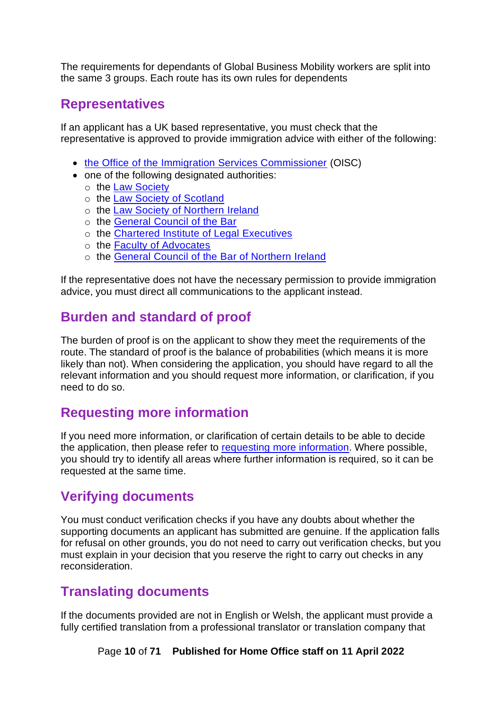The requirements for dependants of Global Business Mobility workers are split into the same 3 groups. Each route has its own rules for dependents

### <span id="page-9-0"></span>**Representatives**

If an applicant has a UK based representative, you must check that the representative is approved to provide immigration advice with either of the following:

- [the Office of the Immigration Services Commissioner](https://www.gov.uk/government/organisations/office-of-the-immigration-services-commissioner) (OISC)
- one of the following designated authorities:
	- o the [Law Society](https://www.lawsociety.org.uk/)
	- o the [Law Society of Scotland](https://www.lawscot.org.uk/)
	- o the [Law Society of Northern Ireland](https://www.lawsoc-ni.org/)
	- o the [General Council](https://www.barcouncil.org.uk/) of the Bar
	- o the [Chartered Institute of Legal Executives](https://www.cilex.org.uk/)
	- o the [Faculty of Advocates](http://www.advocates.org.uk/)
	- o the [General Council of the Bar of Northern Ireland](https://www.barofni.com/)

If the representative does not have the necessary permission to provide immigration advice, you must direct all communications to the applicant instead.

## <span id="page-9-1"></span>**Burden and standard of proof**

The burden of proof is on the applicant to show they meet the requirements of the route. The standard of proof is the balance of probabilities (which means it is more likely than not). When considering the application, you should have regard to all the relevant information and you should request more information, or clarification, if you need to do so.

## <span id="page-9-2"></span>**Requesting more information**

If you need more information, or clarification of certain details to be able to decide the application, then please refer to requesting [more information.](#page-60-0) Where possible, you should try to identify all areas where further information is required, so it can be requested at the same time.

## <span id="page-9-3"></span>**Verifying documents**

You must conduct verification checks if you have any doubts about whether the supporting documents an applicant has submitted are genuine. If the application falls for refusal on other grounds, you do not need to carry out verification checks, but you must explain in your decision that you reserve the right to carry out checks in any reconsideration.

### <span id="page-9-4"></span>**Translating documents**

If the documents provided are not in English or Welsh, the applicant must provide a fully certified translation from a professional translatior or translation company that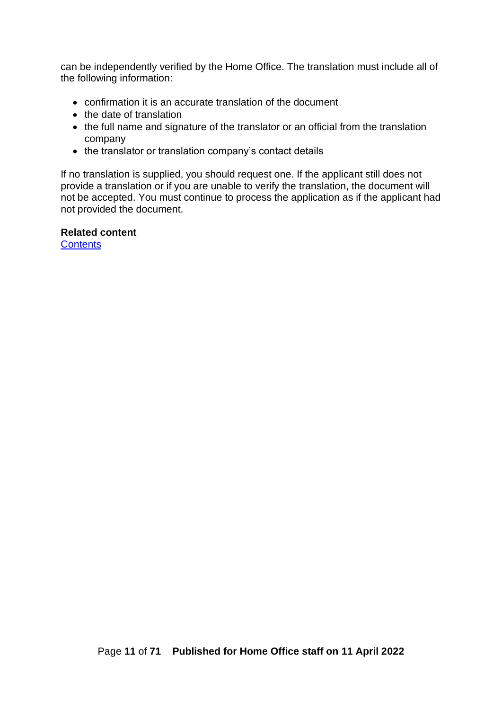can be independently verified by the Home Office. The translation must include all of the following information:

- confirmation it is an accurate translation of the document
- the date of translation
- the full name and signature of the translator or an official from the translation company
- the translator or translation company's contact details

If no translation is supplied, you should request one. If the applicant still does not provide a translation or if you are unable to verify the translation, the document will not be accepted. You must continue to process the application as if the applicant had not provided the document.

#### **Related content**

**[Contents](#page-1-0)**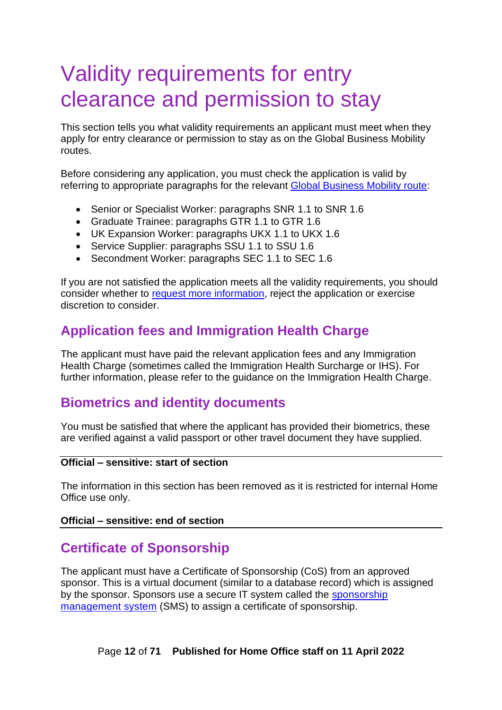# <span id="page-11-0"></span>Validity requirements for entry clearance and permission to stay

This section tells you what validity requirements an applicant must meet when they apply for entry clearance or permission to stay as on the Global Business Mobility routes.

Before considering any application, you must check the application is valid by referring to appropriate paragraphs for the relevant [Global Business Mobility route:](https://www.gov.uk/guidance/immigration-rules/immigration-rules-appendix-intra-company-routes)

- Senior or Specialist Worker: paragraphs SNR 1.1 to SNR 1.6
- Graduate Trainee: paragraphs GTR 1.1 to GTR 1.6
- UK Expansion Worker: paragraphs UKX 1.1 to UKX 1.6
- Service Supplier: paragraphs SSU 1.1 to SSU 1.6
- Secondment Worker: paragraphs SEC 1.1 to SEC 1.6

If you are not satisfied the application meets all the validity requirements, you should consider whether to [request more information,](#page-60-0) reject the application or exercise discretion to consider.

## <span id="page-11-1"></span>**Application fees and Immigration Health Charge**

The applicant must have paid the relevant application fees and any Immigration Health Charge (sometimes called the Immigration Health Surcharge or IHS). For further information, please refer to the guidance on the Immigration Health Charge.

## <span id="page-11-2"></span>**Biometrics and identity documents**

You must be satisfied that where the applicant has provided their biometrics, these are verified against a valid passport or other travel document they have supplied.

#### **Official – sensitive: start of section**

The information in this section has been removed as it is restricted for internal Home Office use only.

#### **Official – sensitive: end of section**

### <span id="page-11-3"></span>**Certificate of Sponsorship**

The applicant must have a Certificate of Sponsorship (CoS) from an approved sponsor. This is a virtual document (similar to a database record) which is assigned by the sponsor. Sponsors use a secure IT system called the [sponsorship](https://www.gov.uk/sponsor-management-system)  [management system](https://www.gov.uk/sponsor-management-system) (SMS) to assign a certificate of sponsorship.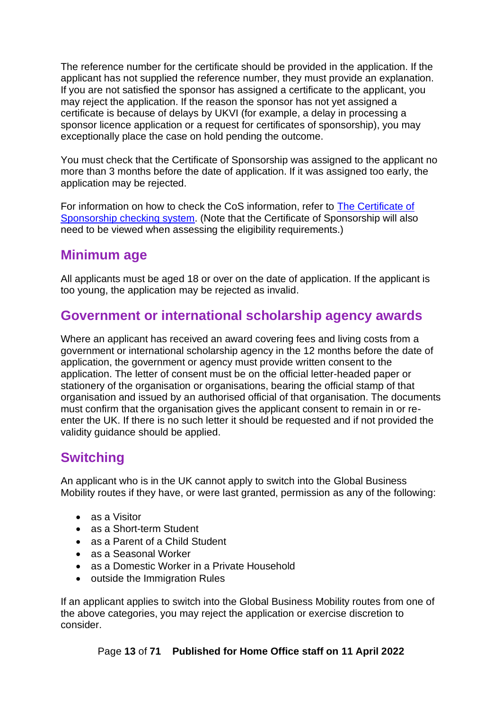The reference number for the certificate should be provided in the application. If the applicant has not supplied the reference number, they must provide an explanation. If you are not satisfied the sponsor has assigned a certificate to the applicant, you may reject the application. If the reason the sponsor has not yet assigned a certificate is because of delays by UKVI (for example, a delay in processing a sponsor licence application or a request for certificates of sponsorship), you may exceptionally place the case on hold pending the outcome.

You must check that the Certificate of Sponsorship was assigned to the applicant no more than 3 months before the date of application. If it was assigned too early, the application may be rejected.

For information on how to check the CoS information, refer to [The Certificate of](#page-58-0)  [Sponsorship checking system.](#page-58-0) (Note that the Certificate of Sponsorship will also need to be viewed when assessing the eligibility requirements.)

## <span id="page-12-0"></span>**Minimum age**

All applicants must be aged 18 or over on the date of application. If the applicant is too young, the application may be rejected as invalid.

## <span id="page-12-1"></span>**Government or international scholarship agency awards**

Where an applicant has received an award covering fees and living costs from a government or international scholarship agency in the 12 months before the date of application, the government or agency must provide written consent to the application. The letter of consent must be on the official letter-headed paper or stationery of the organisation or organisations, bearing the official stamp of that organisation and issued by an authorised official of that organisation. The documents must confirm that the organisation gives the applicant consent to remain in or reenter the UK. If there is no such letter it should be requested and if not provided the validity guidance should be applied.

## <span id="page-12-2"></span>**Switching**

An applicant who is in the UK cannot apply to switch into the Global Business Mobility routes if they have, or were last granted, permission as any of the following:

- as a Visitor
- as a Short-term Student
- as a Parent of a Child Student
- as a Seasonal Worker
- as a Domestic Worker in a Private Household
- outside the Immigration Rules

If an applicant applies to switch into the Global Business Mobility routes from one of the above categories, you may reject the application or exercise discretion to consider.

Page **13** of **71 Published for Home Office staff on 11 April 2022**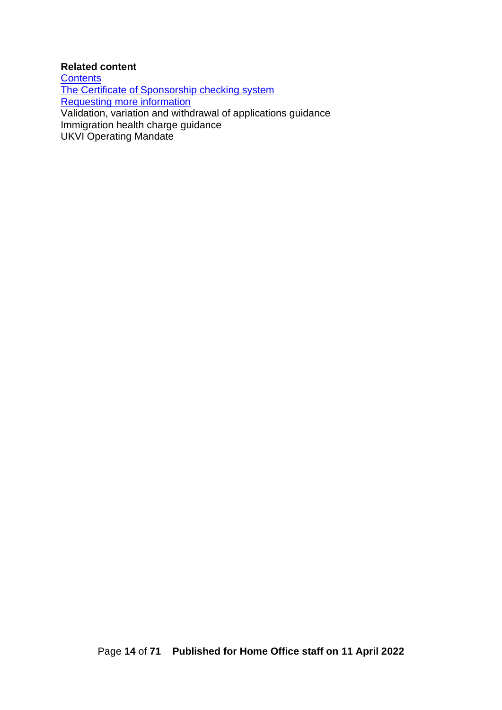#### **Related content**

**[Contents](#page-1-0)** [The Certificate of Sponsorship checking system](#page-58-0) [Requesting more information](#page-60-0) Validation, variation and withdrawal of applications guidance Immigration health charge guidance UKVI Operating Mandate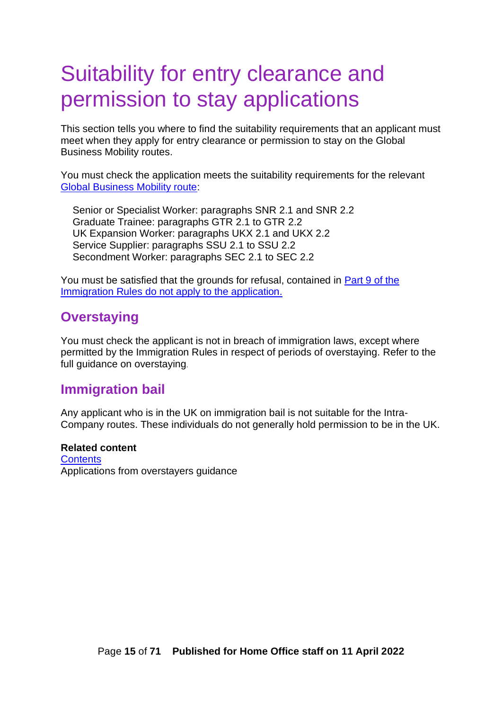## Suitability for entry clearance and permission to stay applications

This section tells you where to find the suitability requirements that an applicant must meet when they apply for entry clearance or permission to stay on the Global Business Mobility routes.

You must check the application meets the suitability requirements for the relevant [Global Business Mobility route:](https://www.gov.uk/guidance/immigration-rules/immigration-rules-appendix-intra-company-routes)

Senior or Specialist Worker: paragraphs SNR 2.1 and SNR 2.2 Graduate Trainee: paragraphs GTR 2.1 to GTR 2.2 UK Expansion Worker: paragraphs UKX 2.1 and UKX 2.2 Service Supplier: paragraphs SSU 2.1 to SSU 2.2 Secondment Worker: paragraphs SEC 2.1 to SEC 2.2

You must be satisfied that the grounds for refusal, contained in Part 9 of the [Immigration Rules](https://www.gov.uk/guidance/immigration-rules/immigration-rules-part-9-grounds-for-refusal) do not apply to the application.

## <span id="page-14-0"></span>**Overstaying**

You must check the applicant is not in breach of immigration laws, except where permitted by the Immigration Rules in respect of periods of overstaying. Refer to the full guidance on overstaying.

### <span id="page-14-1"></span>**Immigration bail**

Any applicant who is in the UK on immigration bail is not suitable for the Intra-Company routes. These individuals do not generally hold permission to be in the UK.

**Related content [Contents](#page-1-0)** Applications from overstayers guidance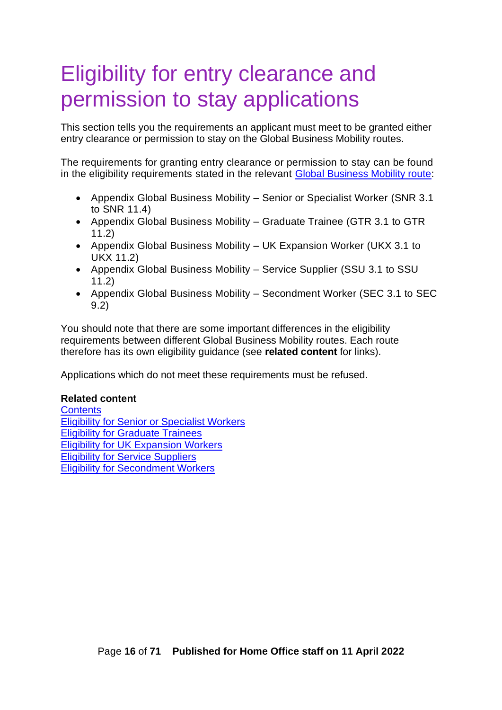# <span id="page-15-0"></span>Eligibility for entry clearance and permission to stay applications

This section tells you the requirements an applicant must meet to be granted either entry clearance or permission to stay on the Global Business Mobility routes.

The requirements for granting entry clearance or permission to stay can be found in the eligibility requirements stated in the relevant [Global Business Mobility route:](https://www.gov.uk/guidance/immigration-rules/immigration-rules-appendix-intra-company-routes)

- Appendix Global Business Mobility Senior or Specialist Worker (SNR 3.1 to SNR 11.4)
- Appendix Global Business Mobility Graduate Trainee (GTR 3.1 to GTR 11.2)
- Appendix Global Business Mobility UK Expansion Worker (UKX 3.1 to UKX 11.2)
- Appendix Global Business Mobility Service Supplier (SSU 3.1 to SSU 11.2)
- Appendix Global Business Mobility Secondment Worker (SEC 3.1 to SEC 9.2)

You should note that there are some important differences in the eligibility requirements between different Global Business Mobility routes. Each route therefore has its own eligibility guidance (see **related content** for links).

Applications which do not meet these requirements must be refused.

#### **Related content**

**[Contents](#page-1-0)** [Eligibility for Senior or Specialist Workers](#page-16-0) [Eligibility for Graduate Trainees](#page-18-0) [Eligibility for UK Expansion Workers](#page-19-0) [Eligibility for Service Suppliers](#page-20-0) [Eligibility for Secondment Workers](#page-22-0)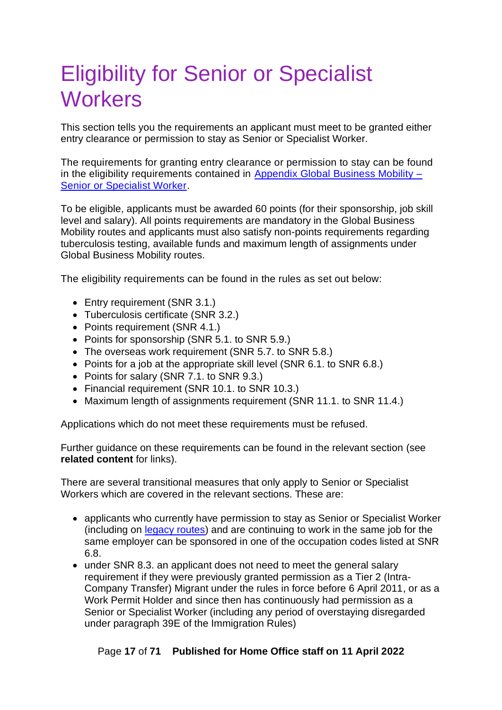# <span id="page-16-0"></span>Eligibility for Senior or Specialist **Workers**

This section tells you the requirements an applicant must meet to be granted either entry clearance or permission to stay as Senior or Specialist Worker.

The requirements for granting entry clearance or permission to stay can be found in the eligibility requirements contained in [Appendix Global Business Mobility –](https://www.gov.uk/guidance/immigration-rules/immigration-rules-appendix-intra-company-routes) [Senior or Specialist Worker.](https://www.gov.uk/guidance/immigration-rules/immigration-rules-appendix-intra-company-routes)

To be eligible, applicants must be awarded 60 points (for their sponsorship, job skill level and salary). All points requirements are mandatory in the Global Business Mobility routes and applicants must also satisfy non-points requirements regarding tuberculosis testing, available funds and maximum length of assignments under Global Business Mobility routes.

The eligibility requirements can be found in the rules as set out below:

- Entry requirement (SNR 3.1.)
- Tuberculosis certificate (SNR 3.2.)
- Points requirement (SNR 4.1.)
- Points for sponsorship (SNR 5.1. to SNR 5.9.)
- The overseas work requirement (SNR 5.7. to SNR 5.8.)
- Points for a job at the appropriate skill level (SNR 6.1. to SNR 6.8.)
- Points for salary (SNR 7.1. to SNR 9.3.)
- Financial requirement (SNR 10.1. to SNR 10.3.)
- Maximum length of assignments requirement (SNR 11.1. to SNR 11.4.)

Applications which do not meet these requirements must be refused.

Further guidance on these requirements can be found in the relevant section (see **related content** for links).

There are several transitional measures that only apply to Senior or Specialist Workers which are covered in the relevant sections. These are:

- applicants who currently have permission to stay as Senior or Specialist Worker (including on [legacy routes\)](#page-7-1) and are continuing to work in the same job for the same employer can be sponsored in one of the occupation codes listed at SNR 6.8.
- under SNR 8.3. an applicant does not need to meet the general salary requirement if they were previously granted permission as a Tier 2 (Intra-Company Transfer) Migrant under the rules in force before 6 April 2011, or as a Work Permit Holder and since then has continuously had permission as a Senior or Specialist Worker (including any period of overstaying disregarded under paragraph 39E of the Immigration Rules)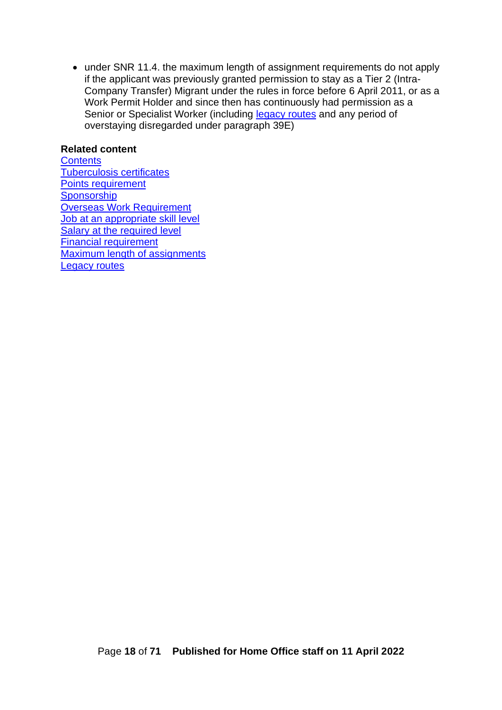• under SNR 11.4. the maximum length of assignment requirements do not apply if the applicant was previously granted permission to stay as a Tier 2 (Intra-Company Transfer) Migrant under the rules in force before 6 April 2011, or as a Work Permit Holder and since then has continuously had permission as a Senior or Specialist Worker (including [legacy routes](#page-7-1) and any period of overstaying disregarded under paragraph 39E)

#### **Related content**

**[Contents](#page-1-0)** [Tuberculosis certificates](#page-22-1) [Points requirement](#page-23-1) **[Sponsorship](#page-24-1)** [Overseas Work Requirement](#page-29-0) [Job at an appropriate skill level](#page-32-0) [Salary at the required level](#page-37-0) [Financial requirement](#page-41-0) [Maximum length of assignments](#page-42-1) [Legacy routes](#page-7-1)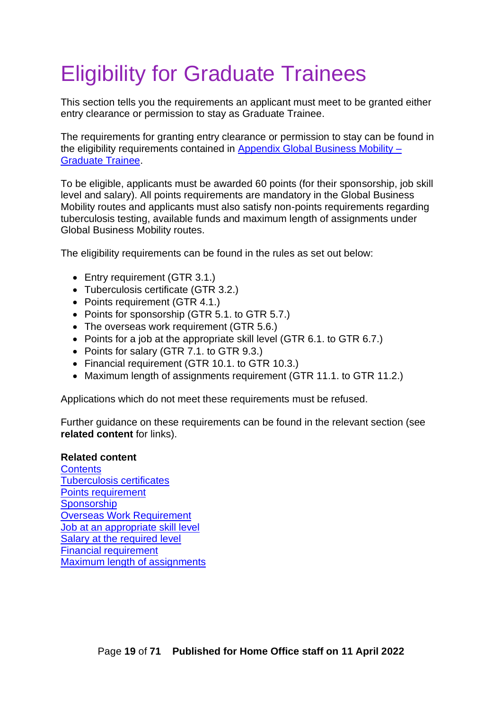# <span id="page-18-0"></span>Eligibility for Graduate Trainees

This section tells you the requirements an applicant must meet to be granted either entry clearance or permission to stay as Graduate Trainee.

The requirements for granting entry clearance or permission to stay can be found in the eligibility requirements contained in Appendix Global Business Mobility -[Graduate Trainee.](https://www.gov.uk/guidance/immigration-rules/immigration-rules-appendix-intra-company-routes)

To be eligible, applicants must be awarded 60 points (for their sponsorship, job skill level and salary). All points requirements are mandatory in the Global Business Mobility routes and applicants must also satisfy non-points requirements regarding tuberculosis testing, available funds and maximum length of assignments under Global Business Mobility routes.

The eligibility requirements can be found in the rules as set out below:

- Entry requirement (GTR 3.1.)
- Tuberculosis certificate (GTR 3.2.)
- Points requirement (GTR 4.1.)
- Points for sponsorship (GTR 5.1. to GTR 5.7.)
- The overseas work requirement (GTR 5.6.)
- Points for a job at the appropriate skill level (GTR 6.1. to GTR 6.7.)
- Points for salary (GTR 7.1. to GTR 9.3.)
- Financial requirement (GTR 10.1. to GTR 10.3.)
- Maximum length of assignments requirement (GTR 11.1. to GTR 11.2.)

Applications which do not meet these requirements must be refused.

Further guidance on these requirements can be found in the relevant section (see **related content** for links).

#### **Related content**

**[Contents](#page-1-0)** [Tuberculosis certificates](#page-22-1) [Points requirement](#page-23-1) **[Sponsorship](#page-24-1)** [Overseas Work Requirement](#page-29-0) [Job at an appropriate skill level](#page-32-0) [Salary at the required level](#page-37-0) [Financial requirement](#page-41-0) [Maximum length of assignments](#page-42-1)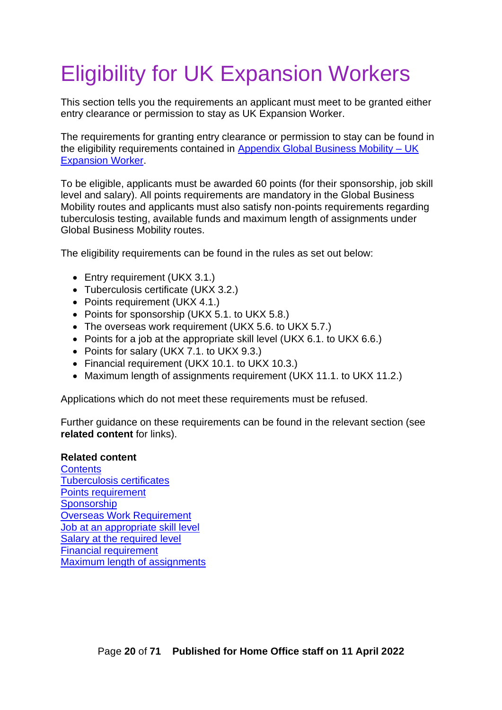# <span id="page-19-0"></span>Eligibility for UK Expansion Workers

This section tells you the requirements an applicant must meet to be granted either entry clearance or permission to stay as UK Expansion Worker.

The requirements for granting entry clearance or permission to stay can be found in the eligibility requirements contained in [Appendix Global Business Mobility –](https://www.gov.uk/guidance/immigration-rules/immigration-rules-appendix-intra-company-routes) UK [Expansion](https://www.gov.uk/guidance/immigration-rules/immigration-rules-appendix-intra-company-routes) Worker.

To be eligible, applicants must be awarded 60 points (for their sponsorship, job skill level and salary). All points requirements are mandatory in the Global Business Mobility routes and applicants must also satisfy non-points requirements regarding tuberculosis testing, available funds and maximum length of assignments under Global Business Mobility routes.

The eligibility requirements can be found in the rules as set out below:

- Entry requirement (UKX 3.1.)
- Tuberculosis certificate (UKX 3.2.)
- Points requirement (UKX 4.1.)
- Points for sponsorship (UKX 5.1. to UKX 5.8.)
- The overseas work requirement (UKX 5.6. to UKX 5.7.)
- Points for a job at the appropriate skill level (UKX 6.1. to UKX 6.6.)
- Points for salary (UKX 7.1. to UKX 9.3.)
- Financial requirement (UKX 10.1. to UKX 10.3.)
- Maximum length of assignments requirement (UKX 11.1. to UKX 11.2.)

Applications which do not meet these requirements must be refused.

Further guidance on these requirements can be found in the relevant section (see **related content** for links).

#### **Related content**

**[Contents](#page-1-0)** [Tuberculosis certificates](#page-22-1) [Points requirement](#page-23-1) **[Sponsorship](#page-24-1)** [Overseas Work Requirement](#page-29-0) [Job at an appropriate skill level](#page-32-0) [Salary at the required level](#page-37-0) [Financial requirement](#page-41-0) [Maximum length of assignments](#page-42-1)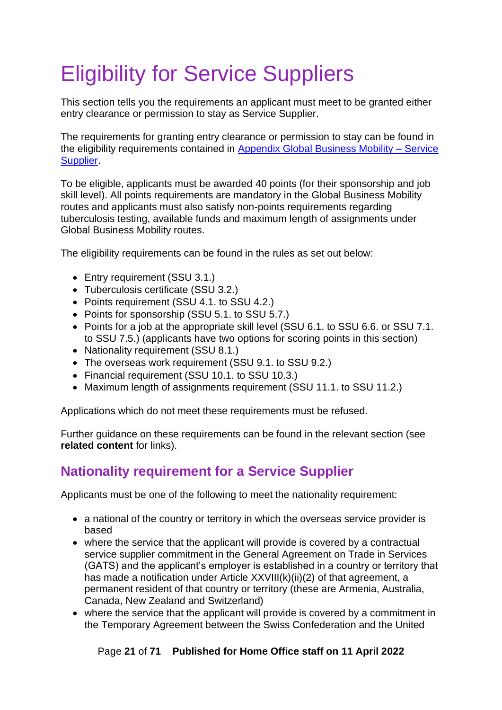# <span id="page-20-0"></span>Eligibility for Service Suppliers

This section tells you the requirements an applicant must meet to be granted either entry clearance or permission to stay as Service Supplier.

The requirements for granting entry clearance or permission to stay can be found in the eligibility requirements contained in [Appendix Global Business Mobility –](https://www.gov.uk/guidance/immigration-rules/immigration-rules-appendix-intra-company-routes) Service [Supplier.](https://www.gov.uk/guidance/immigration-rules/immigration-rules-appendix-intra-company-routes)

To be eligible, applicants must be awarded 40 points (for their sponsorship and job skill level). All points requirements are mandatory in the Global Business Mobility routes and applicants must also satisfy non-points requirements regarding tuberculosis testing, available funds and maximum length of assignments under Global Business Mobility routes.

The eligibility requirements can be found in the rules as set out below:

- Entry requirement (SSU 3.1.)
- Tuberculosis certificate (SSU 3.2.)
- Points requirement (SSU 4.1. to SSU 4.2.)
- Points for sponsorship (SSU 5.1. to SSU 5.7.)
- Points for a job at the appropriate skill level (SSU 6.1. to SSU 6.6. or SSU 7.1. to SSU 7.5.) (applicants have two options for scoring points in this section)
- Nationality requirement (SSU 8.1.)
- The overseas work requirement (SSU 9.1. to SSU 9.2.)
- Financial requirement (SSU 10.1. to SSU 10.3.)
- Maximum length of assignments requirement (SSU 11.1, to SSU 11.2.)

Applications which do not meet these requirements must be refused.

Further guidance on these requirements can be found in the relevant section (see **related content** for links).

## <span id="page-20-1"></span>**Nationality requirement for a Service Supplier**

Applicants must be one of the following to meet the nationality requirement:

- a national of the country or territory in which the overseas service provider is based
- where the service that the applicant will provide is covered by a contractual service supplier commitment in the General Agreement on Trade in Services (GATS) and the applicant's employer is established in a country or territory that has made a notification under Article XXVIII(k)(ii)(2) of that agreement, a permanent resident of that country or territory (these are Armenia, Australia, Canada, New Zealand and Switzerland)
- where the service that the applicant will provide is covered by a commitment in the Temporary Agreement between the Swiss Confederation and the United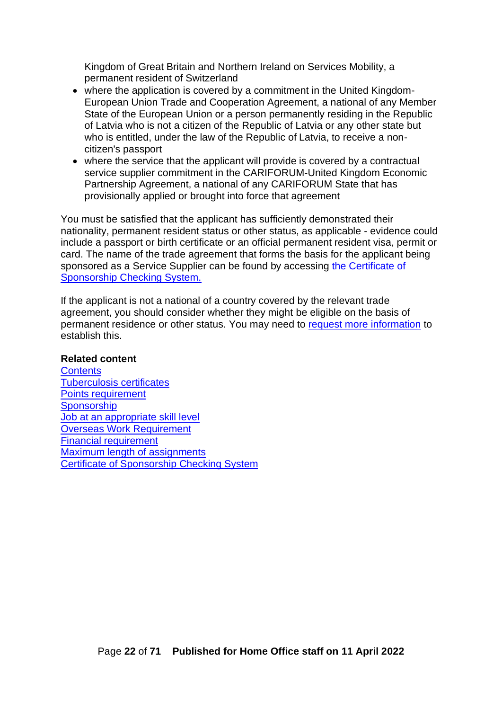Kingdom of Great Britain and Northern Ireland on Services Mobility, a permanent resident of Switzerland

- where the application is covered by a commitment in the United Kingdom-European Union Trade and Cooperation Agreement, a national of any Member State of the European Union or a person permanently residing in the Republic of Latvia who is not a citizen of the Republic of Latvia or any other state but who is entitled, under the law of the Republic of Latvia, to receive a noncitizen's passport
- where the service that the applicant will provide is covered by a contractual service supplier commitment in the CARIFORUM-United Kingdom Economic Partnership Agreement, a national of any CARIFORUM State that has provisionally applied or brought into force that agreement

You must be satisfied that the applicant has sufficiently demonstrated their nationality, permanent resident status or other status, as applicable - evidence could include a passport or birth certificate or an official permanent resident visa, permit or card. The name of the trade agreement that forms the basis for the applicant being sponsored as a Service Supplier can be found by accessing [the Certificate of](#page-57-1)  [Sponsorship Checking System.](#page-57-1)

If the applicant is not a national of a country covered by the relevant trade agreement, you should consider whether they might be eligible on the basis of permanent residence or other status. You may need to [request more](#page-59-1) information to establish this.

#### **Related content**

**[Contents](#page-1-0)** [Tuberculosis certificates](#page-22-1) [Points requirement](#page-23-1) **[Sponsorship](#page-24-1)** [Job at an appropriate skill level](#page-32-0) [Overseas Work Requirement](#page-29-0) [Financial requirement](#page-41-0) [Maximum length of assignments](#page-42-1) [Certificate of Sponsorship Checking System](#page-57-1)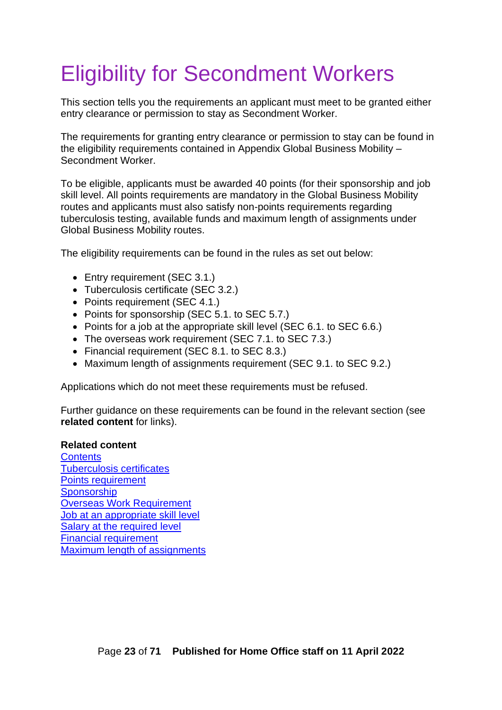# <span id="page-22-0"></span>Eligibility for Secondment Workers

This section tells you the requirements an applicant must meet to be granted either entry clearance or permission to stay as Secondment Worker.

The requirements for granting entry clearance or permission to stay can be found in the eligibility requirements contained in Appendix Global Business Mobility – Secondment Worker.

To be eligible, applicants must be awarded 40 points (for their sponsorship and job skill level. All points requirements are mandatory in the Global Business Mobility routes and applicants must also satisfy non-points requirements regarding tuberculosis testing, available funds and maximum length of assignments under Global Business Mobility routes.

The eligibility requirements can be found in the rules as set out below:

- Entry requirement (SEC 3.1.)
- Tuberculosis certificate (SEC 3.2.)
- Points requirement (SEC 4.1.)
- Points for sponsorship (SEC 5.1. to SEC 5.7.)
- Points for a job at the appropriate skill level (SEC 6.1. to SEC 6.6.)
- The overseas work requirement (SEC 7.1. to SEC 7.3.)
- Financial requirement (SEC 8.1. to SEC 8.3.)
- Maximum length of assignments requirement (SEC 9.1. to SEC 9.2.)

Applications which do not meet these requirements must be refused.

Further guidance on these requirements can be found in the relevant section (see **related content** for links).

#### **Related content**

<span id="page-22-1"></span>**[Contents](#page-1-0)** [Tuberculosis certificates](#page-22-1) [Points requirement](#page-23-1) **[Sponsorship](#page-24-1)** [Overseas Work Requirement](#page-29-0) [Job at an appropriate skill level](#page-32-0) [Salary at the required level](#page-37-0) [Financial requirement](#page-41-0) [Maximum length of assignments](#page-42-1)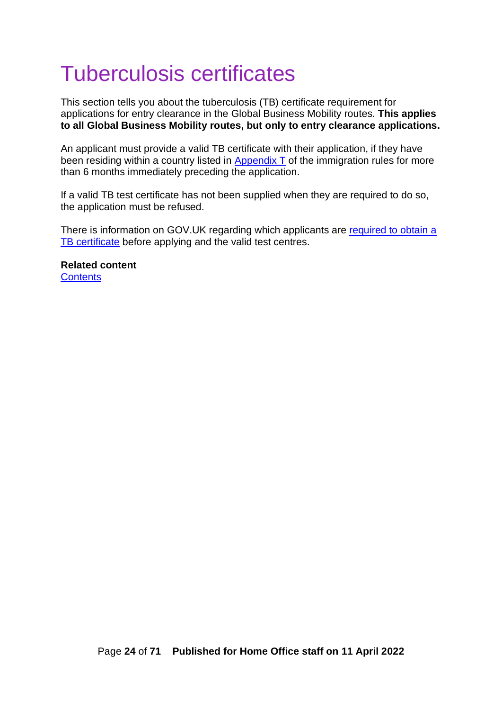# <span id="page-23-0"></span>Tuberculosis certificates

This section tells you about the tuberculosis (TB) certificate requirement for applications for entry clearance in the Global Business Mobility routes. **This applies to all Global Business Mobility routes, but only to entry clearance applications.**

An applicant must provide a valid TB certificate with their application, if they have been residing within a country listed in  $\Delta$ ppendix  $\overline{I}$  of the immigration rules for more than 6 months immediately preceding the application.

If a valid TB test certificate has not been supplied when they are required to do so, the application must be refused.

There is information on GOV.UK regarding which applicants are required to obtain a [TB certificate](https://www.gov.uk/tb-test-visa) before applying and the valid test centres.

<span id="page-23-1"></span>**Related content [Contents](https://ukhomeoffice.sharepoint.com/sites/POL903/Skilled%20Work/Guidance/Skilled%20Worker%20caseworker%20guidance%20v0.1.docx#_Contents)**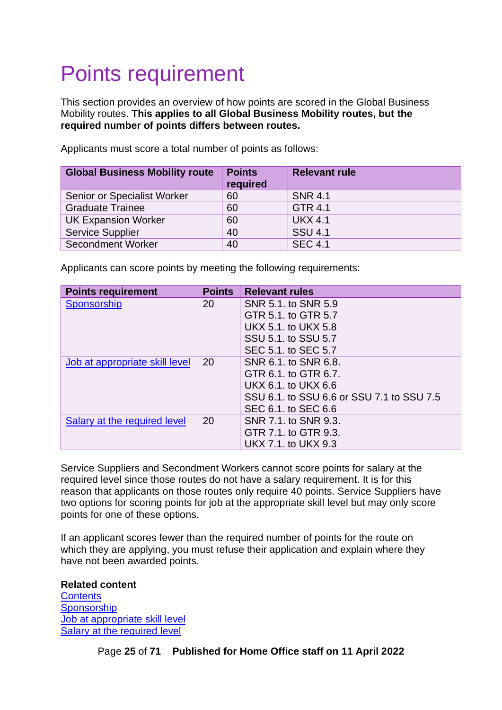# <span id="page-24-0"></span>Points requirement

This section provides an overview of how points are scored in the Global Business Mobility routes. **This applies to all Global Business Mobility routes, but the required number of points differs between routes.**

| <b>Global Business Mobility route</b> | <b>Points</b><br>required | <b>Relevant rule</b> |
|---------------------------------------|---------------------------|----------------------|
| Senior or Specialist Worker           | 60                        | <b>SNR 4.1</b>       |
| <b>Graduate Trainee</b>               | 60                        | GTR 4.1              |
| <b>UK Expansion Worker</b>            | 60                        | <b>UKX 4.1</b>       |
| <b>Service Supplier</b>               | 40                        | <b>SSU 4.1</b>       |
| <b>Secondment Worker</b>              | 40                        | <b>SEC 4.1</b>       |

Applicants must score a total number of points as follows:

Applicants can score points by meeting the following requirements:

| <b>Points requirement</b>      | <b>Points</b> | <b>Relevant rules</b>                     |
|--------------------------------|---------------|-------------------------------------------|
| Sponsorship                    | 20            | SNR 5.1, to SNR 5.9                       |
|                                |               | GTR 5.1, to GTR 5.7                       |
|                                |               | UKX 5.1, to UKX 5.8                       |
|                                |               | SSU 5.1, to SSU 5.7                       |
|                                |               | SEC 5.1, to SEC 5.7                       |
| Job at appropriate skill level | 20            | SNR 6.1, to SNR 6.8.                      |
|                                |               | GTR 6.1, to GTR 6.7.                      |
|                                |               | UKX 6.1, to UKX 6.6                       |
|                                |               | SSU 6.1, to SSU 6.6 or SSU 7.1 to SSU 7.5 |
|                                |               | SEC 6.1, to SEC 6.6                       |
| Salary at the required level   | 20            | SNR 7.1, to SNR 9.3.                      |
|                                |               | GTR 7.1, to GTR 9.3.                      |
|                                |               | UKX 7.1. to UKX 9.3                       |

Service Suppliers and Secondment Workers cannot score points for salary at the required level since those routes do not have a salary requirement. It is for this reason that applicants on those routes only require 40 points. Service Suppliers have two options for scoring points for job at the appropriate skill level but may only score points for one of these options.

If an applicant scores fewer than the required number of points for the route on which they are applying, you must refuse their application and explain where they have not been awarded points.

**Related content [Contents](#page-1-0) [Sponsorship](#page-25-0)** [Job at appropriate skill level](#page-33-0) [Salary at the required level](#page-38-0)

<span id="page-24-1"></span>Page **25** of **71 Published for Home Office staff on 11 April 2022**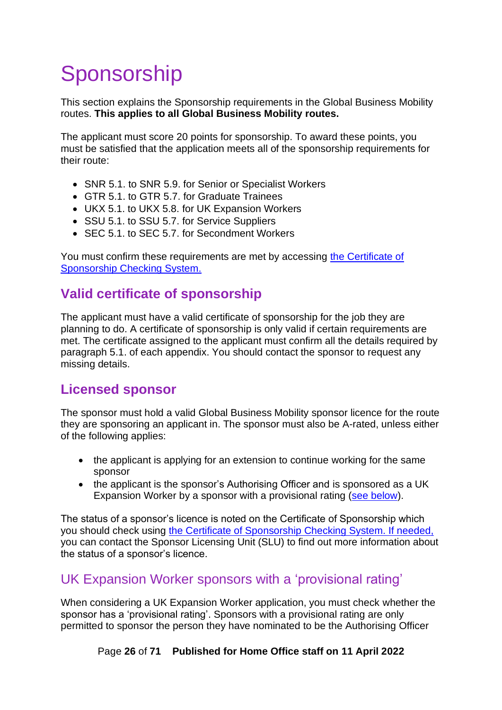# <span id="page-25-0"></span>Sponsorship

This section explains the Sponsorship requirements in the Global Business Mobility routes. **This applies to all Global Business Mobility routes.**

The applicant must score 20 points for sponsorship. To award these points, you must be satisfied that the application meets all of the sponsorship requirements for their route:

- SNR 5.1. to SNR 5.9. for Senior or Specialist Workers
- GTR 5.1. to GTR 5.7. for Graduate Trainees
- UKX 5.1. to UKX 5.8. for UK Expansion Workers
- SSU 5.1. to SSU 5.7. for Service Suppliers
- SEC 5.1. to SEC 5.7. for Secondment Workers

You must confirm these requirements are met by accessing [the Certificate of](#page-58-0)  [Sponsorship Checking System.](#page-58-0)

## <span id="page-25-1"></span>**Valid certificate of sponsorship**

The applicant must have a valid certificate of sponsorship for the job they are planning to do. A certificate of sponsorship is only valid if certain requirements are met. The certificate assigned to the applicant must confirm all the details required by paragraph 5.1. of each appendix. You should contact the sponsor to request any missing details.

## <span id="page-25-2"></span>**Licensed sponsor**

The sponsor must hold a valid Global Business Mobility sponsor licence for the route they are sponsoring an applicant in. The sponsor must also be A-rated, unless either of the following applies:

- the applicant is applying for an extension to continue working for the same sponsor
- the applicant is the sponsor's Authorising Officer and is sponsored as a UK Expansion Worker by a sponsor with a provisional rating [\(see below\)](#page-25-3).

The status of a sponsor's licence is noted on the Certificate of Sponsorship which you should check using [the Certificate of Sponsorship Checking System.](#page-58-0) If needed, you can contact the Sponsor Licensing Unit (SLU) to find out more information about the status of a sponsor's licence.

## <span id="page-25-3"></span>UK Expansion Worker sponsors with a 'provisional rating'

When considering a UK Expansion Worker application, you must check whether the sponsor has a 'provisional rating'. Sponsors with a provisional rating are only permitted to sponsor the person they have nominated to be the Authorising Officer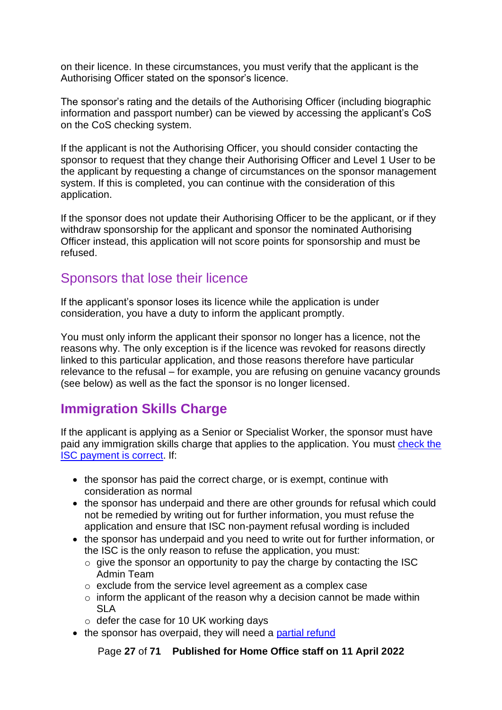on their licence. In these circumstances, you must verify that the applicant is the Authorising Officer stated on the sponsor's licence.

The sponsor's rating and the details of the Authorising Officer (including biographic information and passport number) can be viewed by accessing the applicant's CoS on the CoS checking system.

If the applicant is not the Authorising Officer, you should consider contacting the sponsor to request that they change their Authorising Officer and Level 1 User to be the applicant by requesting a change of circumstances on the sponsor management system. If this is completed, you can continue with the consideration of this application.

If the sponsor does not update their Authorising Officer to be the applicant, or if they withdraw sponsorship for the applicant and sponsor the nominated Authorising Officer instead, this application will not score points for sponsorship and must be refused.

### <span id="page-26-0"></span>Sponsors that lose their licence

If the applicant's sponsor loses its licence while the application is under consideration, you have a duty to inform the applicant promptly.

You must only inform the applicant their sponsor no longer has a licence, not the reasons why. The only exception is if the licence was revoked for reasons directly linked to this particular application, and those reasons therefore have particular relevance to the refusal – for example, you are refusing on genuine vacancy grounds (see below) as well as the fact the sponsor is no longer licensed.

## <span id="page-26-1"></span>**Immigration Skills Charge**

If the applicant is applying as a Senior or Specialist Worker, the sponsor must have paid any immigration skills charge that applies to the application. You must [check the](#page-63-0)  [ISC payment is correct.](#page-63-0) If:

- the sponsor has paid the correct charge, or is exempt, continue with consideration as normal
- the sponsor has underpaid and there are other grounds for refusal which could not be remedied by writing out for further information, you must refuse the application and ensure that ISC non-payment refusal wording is included
- the sponsor has underpaid and you need to write out for further information, or the ISC is the only reason to refuse the application, you must:
	- o give the sponsor an opportunity to pay the charge by [contacting the ISC](#page-64-1)  [Admin Team](#page-64-1)
	- o exclude from the service level agreement as a complex case
	- $\circ$  inform the applicant of the reason why a decision cannot be made within SLA
	- o defer the case for 10 UK working days
- the sponsor has overpaid, they will need a [partial refund](#page-65-2)

Page **27** of **71 Published for Home Office staff on 11 April 2022**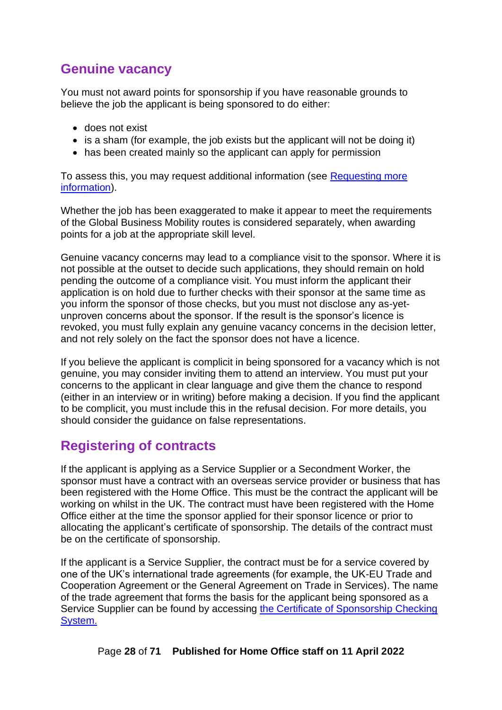## <span id="page-27-0"></span>**Genuine vacancy**

You must not award points for sponsorship if you have reasonable grounds to believe the job the applicant is being sponsored to do either:

- does not exist
- is a sham (for example, the job exists but the applicant will not be doing it)
- has been created mainly so the applicant can apply for permission

To assess this, you may request additional information (see Requesting more [information\)](#page-59-1).

Whether the job has been exaggerated to make it appear to meet the requirements of the Global Business Mobility routes is considered separately, when awarding points for a job at the appropriate skill level.

Genuine vacancy concerns may lead to a compliance visit to the sponsor. Where it is not possible at the outset to decide such applications, they should remain on hold pending the outcome of a compliance visit. You must inform the applicant their application is on hold due to further checks with their sponsor at the same time as you inform the sponsor of those checks, but you must not disclose any as-yetunproven concerns about the sponsor. If the result is the sponsor's licence is revoked, you must fully explain any genuine vacancy concerns in the decision letter, and not rely solely on the fact the sponsor does not have a licence.

If you believe the applicant is complicit in being sponsored for a vacancy which is not genuine, you may consider inviting them to attend an interview. You must put your concerns to the applicant in clear language and give them the chance to respond (either in an interview or in writing) before making a decision. If you find the applicant to be complicit, you must include this in the refusal decision. For more details, you should consider the guidance on false representations.

## <span id="page-27-1"></span>**Registering of contracts**

If the applicant is applying as a Service Supplier or a Secondment Worker, the sponsor must have a contract with an overseas service provider or business that has been registered with the Home Office. This must be the contract the applicant will be working on whilst in the UK. The contract must have been registered with the Home Office either at the time the sponsor applied for their sponsor licence or prior to allocating the applicant's certificate of sponsorship. The details of the contract must be on the certificate of sponsorship.

If the applicant is a Service Supplier, the contract must be for a service covered by one of the UK's international trade agreements (for example, the UK-EU Trade and Cooperation Agreement or the General Agreement on Trade in Services). The name of the trade agreement that forms the basis for the applicant being sponsored as a Service Supplier can be found by accessing [the Certificate of Sponsorship Checking](#page-57-1)  [System.](#page-57-1)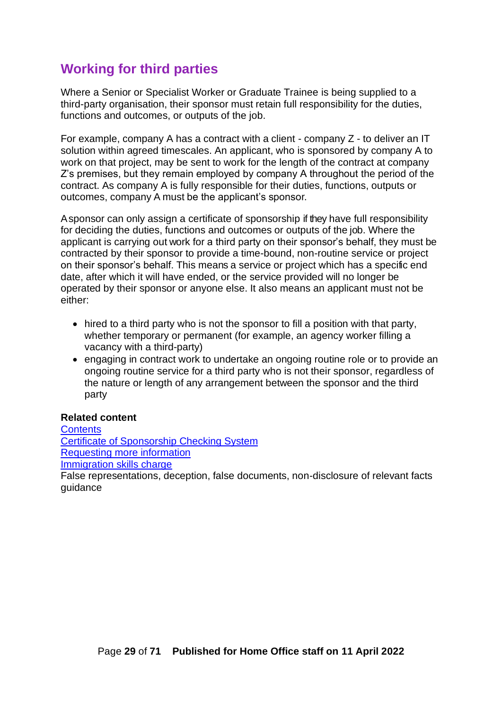## <span id="page-28-0"></span>**Working for third parties**

Where a Senior or Specialist Worker or Graduate Trainee is being supplied to a third-party organisation, their sponsor must retain full responsibility for the duties, functions and outcomes, or outputs of the job.

For example, company A has a contract with a client - company Z - to deliver an IT solution within agreed timescales. An applicant, who is sponsored by company A to work on that project, may be sent to work for the length of the contract at company Z's premises, but they remain employed by company A throughout the period of the contract. As company A is fully responsible for their duties, functions, outputs or outcomes, company A must be the applicant's sponsor.

A sponsor can only assign a certificate of sponsorship if they have full responsibility for deciding the duties, functions and outcomes or outputs of the job. Where the applicant is carrying out work for a third party on their sponsor's behalf, they must be contracted by their sponsor to provide a time-bound, non-routine service or project on their sponsor's behalf. This means a service or project which has a specific end date, after which it will have ended, or the service provided will no longer be operated by their sponsor or anyone else. It also means an applicant must not be either:

- hired to a third party who is not the sponsor to fill a position with that party, whether temporary or permanent (for example, an agency worker filling a vacancy with a third-party)
- engaging in contract work to undertake an ongoing routine role or to provide an ongoing routine service for a third party who is not their sponsor, regardless of the nature or length of any arrangement between the sponsor and the third party

#### **Related content**

**[Contents](#page-1-0)** [Certificate of Sponsorship Checking System](#page-57-1) [Requesting more information](#page-59-1) [Immigration skills charge](#page-62-0) False representations, deception, false documents, non-disclosure of relevant facts guidance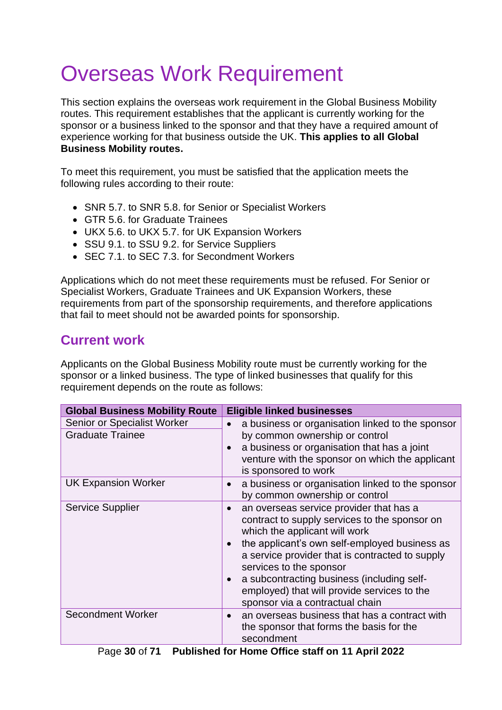# <span id="page-29-0"></span>Overseas Work Requirement

This section explains the overseas work requirement in the Global Business Mobility routes. This requirement establishes that the applicant is currently working for the sponsor or a business linked to the sponsor and that they have a required amount of experience working for that business outside the UK. **This applies to all Global Business Mobility routes.**

To meet this requirement, you must be satisfied that the application meets the following rules according to their route:

- SNR 5.7. to SNR 5.8. for Senior or Specialist Workers
- GTR 5.6. for Graduate Trainees
- UKX 5.6. to UKX 5.7. for UK Expansion Workers
- SSU 9.1. to SSU 9.2. for Service Suppliers
- SEC 7.1. to SEC 7.3. for Secondment Workers

Applications which do not meet these requirements must be refused. For Senior or Specialist Workers, Graduate Trainees and UK Expansion Workers, these requirements from part of the sponsorship requirements, and therefore applications that fail to meet should not be awarded points for sponsorship.

## <span id="page-29-1"></span>**Current work**

Applicants on the Global Business Mobility route must be currently working for the sponsor or a linked business. The type of linked businesses that qualify for this requirement depends on the route as follows:

| <b>Global Business Mobility Route</b>                  | <b>Eligible linked businesses</b>                                                                                                                                                                                                                                                                                                                                                        |
|--------------------------------------------------------|------------------------------------------------------------------------------------------------------------------------------------------------------------------------------------------------------------------------------------------------------------------------------------------------------------------------------------------------------------------------------------------|
| Senior or Specialist Worker<br><b>Graduate Trainee</b> | a business or organisation linked to the sponsor<br>by common ownership or control<br>a business or organisation that has a joint<br>venture with the sponsor on which the applicant<br>is sponsored to work                                                                                                                                                                             |
| <b>UK Expansion Worker</b>                             | a business or organisation linked to the sponsor<br>by common ownership or control                                                                                                                                                                                                                                                                                                       |
| <b>Service Supplier</b>                                | an overseas service provider that has a<br>contract to supply services to the sponsor on<br>which the applicant will work<br>the applicant's own self-employed business as<br>a service provider that is contracted to supply<br>services to the sponsor<br>a subcontracting business (including self-<br>employed) that will provide services to the<br>sponsor via a contractual chain |
| Secondment Worker                                      | an overseas business that has a contract with<br>the sponsor that forms the basis for the<br>secondment                                                                                                                                                                                                                                                                                  |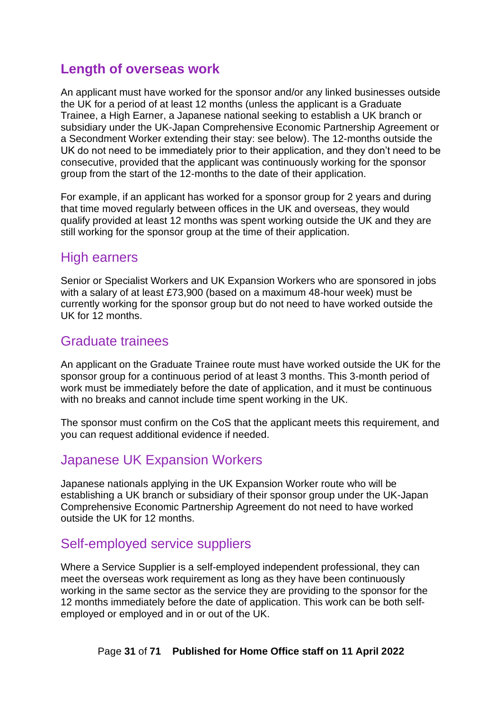## <span id="page-30-0"></span>**Length of overseas work**

An applicant must have worked for the sponsor and/or any linked businesses outside the UK for a period of at least 12 months (unless the applicant is a Graduate Trainee, a High Earner, a Japanese national seeking to establish a UK branch or subsidiary under the UK-Japan Comprehensive Economic Partnership Agreement or a Secondment Worker extending their stay: see below). The 12-months outside the UK do not need to be immediately prior to their application, and they don't need to be consecutive, provided that the applicant was continuously working for the sponsor group from the start of the 12-months to the date of their application.

For example, if an applicant has worked for a sponsor group for 2 years and during that time moved regularly between offices in the UK and overseas, they would qualify provided at least 12 months was spent working outside the UK and they are still working for the sponsor group at the time of their application.

### <span id="page-30-1"></span>High earners

Senior or Specialist Workers and UK Expansion Workers who are sponsored in jobs with a salary of at least £73,900 (based on a maximum 48-hour week) must be currently working for the sponsor group but do not need to have worked outside the UK for 12 months.

### <span id="page-30-2"></span>Graduate trainees

An applicant on the Graduate Trainee route must have worked outside the UK for the sponsor group for a continuous period of at least 3 months. This 3-month period of work must be immediately before the date of application, and it must be continuous with no breaks and cannot include time spent working in the UK.

The sponsor must confirm on the CoS that the applicant meets this requirement, and you can request additional evidence if needed.

### <span id="page-30-3"></span>Japanese UK Expansion Workers

Japanese nationals applying in the UK Expansion Worker route who will be establishing a UK branch or subsidiary of their sponsor group under the UK-Japan Comprehensive Economic Partnership Agreement do not need to have worked outside the UK for 12 months.

### <span id="page-30-4"></span>Self-employed service suppliers

Where a Service Supplier is a self-employed independent professional, they can meet the overseas work requirement as long as they have been continuously working in the same sector as the service they are providing to the sponsor for the 12 months immediately before the date of application. This work can be both selfemployed or employed and in or out of the UK.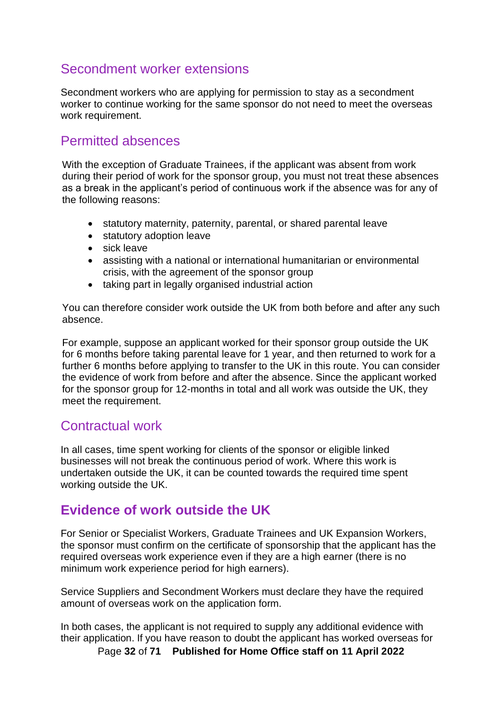### <span id="page-31-0"></span>Secondment worker extensions

Secondment workers who are applying for permission to stay as a secondment worker to continue working for the same sponsor do not need to meet the overseas work requirement.

### <span id="page-31-1"></span>Permitted absences

With the exception of Graduate Trainees, if the applicant was absent from work during their period of work for the sponsor group, you must not treat these absences as a break in the applicant's period of continuous work if the absence was for any of the following reasons:

- statutory maternity, paternity, parental, or shared parental leave
- statutory adoption leave
- sick leave
- assisting with a national or international humanitarian or environmental crisis, with the agreement of the sponsor group
- taking part in legally organised industrial action

You can therefore consider work outside the UK from both before and after any such absence.

For example, suppose an applicant worked for their sponsor group outside the UK for 6 months before taking parental leave for 1 year, and then returned to work for a further 6 months before applying to transfer to the UK in this route. You can consider the evidence of work from before and after the absence. Since the applicant worked for the sponsor group for 12-months in total and all work was outside the UK, they meet the requirement.

### <span id="page-31-2"></span>Contractual work

In all cases, time spent working for clients of the sponsor or eligible linked businesses will not break the continuous period of work. Where this work is undertaken outside the UK, it can be counted towards the required time spent working outside the UK.

## <span id="page-31-3"></span>**Evidence of work outside the UK**

For Senior or Specialist Workers, Graduate Trainees and UK Expansion Workers, the sponsor must confirm on the certificate of sponsorship that the applicant has the required overseas work experience even if they are a high earner (there is no minimum work experience period for high earners).

Service Suppliers and Secondment Workers must declare they have the required amount of overseas work on the application form.

In both cases, the applicant is not required to supply any additional evidence with their application. If you have reason to doubt the applicant has worked overseas for

Page **32** of **71 Published for Home Office staff on 11 April 2022**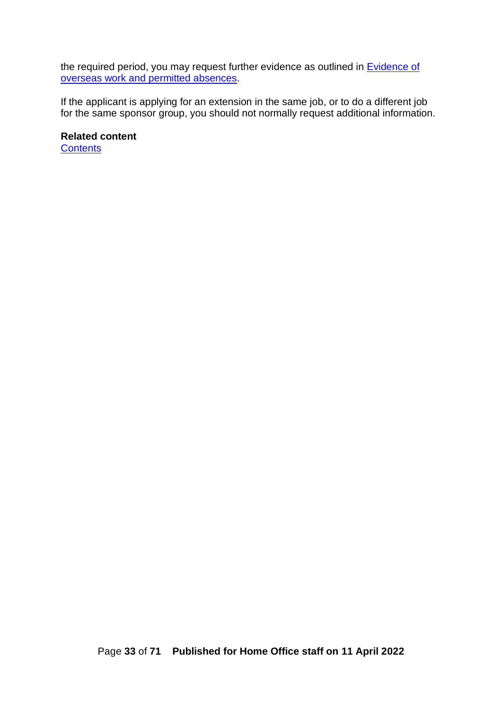the required period, you may request further evidence as outlined in **Evidence of** [overseas work and permitted absences.](#page-67-0)

If the applicant is applying for an extension in the same job, or to do a different job for the same sponsor group, you should not normally request additional information.

<span id="page-32-0"></span>**Related content [Contents](#page-1-0)**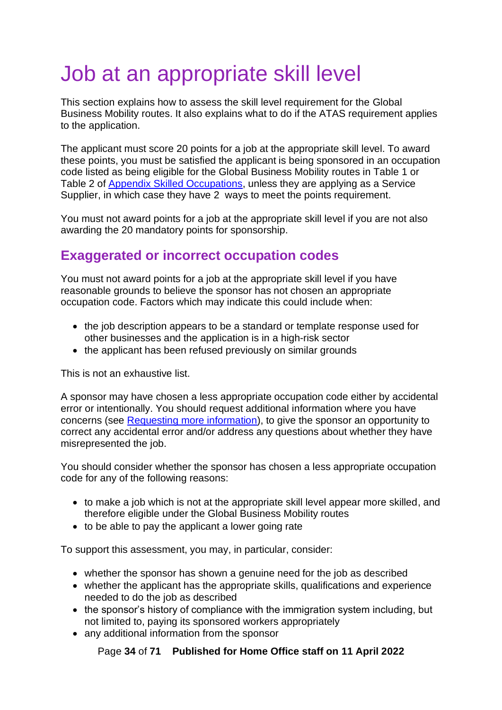# <span id="page-33-0"></span>Job at an appropriate skill level

This section explains how to assess the skill level requirement for the Global Business Mobility routes. It also explains what to do if the ATAS requirement applies to the application.

The applicant must score 20 points for a job at the appropriate skill level. To award these points, you must be satisfied the applicant is being sponsored in an occupation code listed as being eligible for the Global Business Mobility routes in Table 1 or Table 2 of [Appendix Skilled Occupations,](https://www.gov.uk/guidance/immigration-rules/immigration-rules-appendix-skilled-occupations) unless they are applying as a Service Supplier, in which case they have 2 ways to meet the points requirement.

You must not award points for a job at the appropriate skill level if you are not also awarding the 20 mandatory points for sponsorship.

## <span id="page-33-1"></span>**Exaggerated or incorrect occupation codes**

You must not award points for a job at the appropriate skill level if you have reasonable grounds to believe the sponsor has not chosen an appropriate occupation code. Factors which may indicate this could include when:

- the job description appears to be a standard or template response used for other businesses and the application is in a high-risk sector
- the applicant has been refused previously on similar grounds

This is not an exhaustive list.

A sponsor may have chosen a less appropriate occupation code either by accidental error or intentionally. You should request additional information where you have concerns (see [Requesting more information\)](#page-59-1), to give the sponsor an opportunity to correct any accidental error and/or address any questions about whether they have misrepresented the job.

You should consider whether the sponsor has chosen a less appropriate occupation code for any of the following reasons:

- to make a job which is not at the appropriate skill level appear more skilled, and therefore eligible under the Global Business Mobility routes
- to be able to pay the applicant a lower going rate

To support this assessment, you may, in particular, consider:

- whether the sponsor has shown a genuine need for the job as described
- whether the applicant has the appropriate skills, qualifications and experience needed to do the job as described
- the sponsor's history of compliance with the immigration system including, but not limited to, paying its sponsored workers appropriately
- any additional information from the sponsor

Page **34** of **71 Published for Home Office staff on 11 April 2022**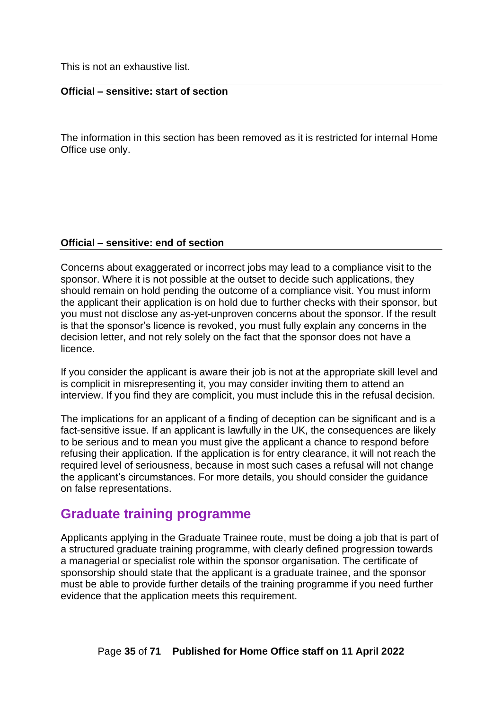This is not an exhaustive list.

#### **Official – sensitive: start of section**

The information in this section has been removed as it is restricted for internal Home Office use only.

#### **Official – sensitive: end of section**

Concerns about exaggerated or incorrect jobs may lead to a compliance visit to the sponsor. Where it is not possible at the outset to decide such applications, they should remain on hold pending the outcome of a compliance visit. You must inform the applicant their application is on hold due to further checks with their sponsor, but you must not disclose any as-yet-unproven concerns about the sponsor. If the result is that the sponsor's licence is revoked, you must fully explain any concerns in the decision letter, and not rely solely on the fact that the sponsor does not have a licence.

If you consider the applicant is aware their job is not at the appropriate skill level and is complicit in misrepresenting it, you may consider inviting them to attend an interview. If you find they are complicit, you must include this in the refusal decision.

The implications for an applicant of a finding of deception can be significant and is a fact-sensitive issue. If an applicant is lawfully in the UK, the consequences are likely to be serious and to mean you must give the applicant a chance to respond before refusing their application. If the application is for entry clearance, it will not reach the required level of seriousness, because in most such cases a refusal will not change the applicant's circumstances. For more details, you should consider the guidance on false representations.

### <span id="page-34-0"></span>**Graduate training programme**

Applicants applying in the Graduate Trainee route, must be doing a job that is part of a structured graduate training programme, with clearly defined progression towards a managerial or specialist role within the sponsor organisation. The certificate of sponsorship should state that the applicant is a graduate trainee, and the sponsor must be able to provide further details of the training programme if you need further evidence that the application meets this requirement.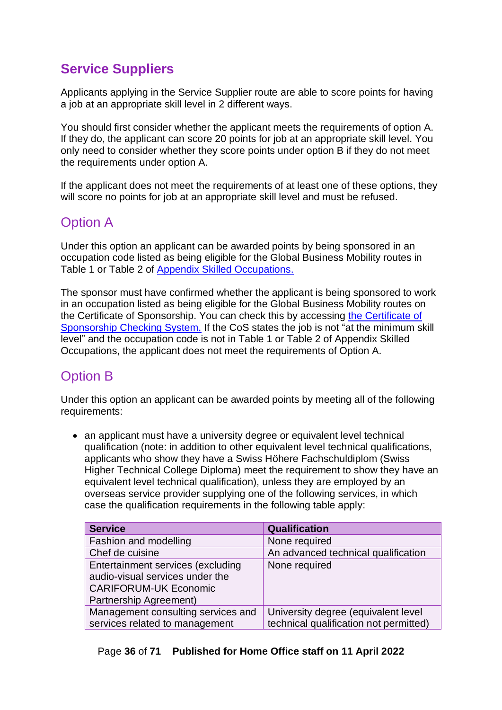## <span id="page-35-0"></span>**Service Suppliers**

Applicants applying in the Service Supplier route are able to score points for having a job at an appropriate skill level in 2 different ways.

You should first consider whether the applicant meets the requirements of option A. If they do, the applicant can score 20 points for job at an appropriate skill level. You only need to consider whether they score points under option B if they do not meet the requirements under option A.

If the applicant does not meet the requirements of at least one of these options, they will score no points for job at an appropriate skill level and must be refused.

## <span id="page-35-1"></span>Option A

Under this option an applicant can be awarded points by being sponsored in an occupation code listed as being eligible for the Global Business Mobility routes in Table 1 or Table 2 of [Appendix Skilled Occupations.](https://www.gov.uk/guidance/immigration-rules/immigration-rules-appendix-skilled-occupations)

The sponsor must have confirmed whether the applicant is being sponsored to work in an occupation listed as being eligible for the Global Business Mobility routes on the Certificate of Sponsorship. You can check this by accessing [the Certificate of](#page-57-1)  [Sponsorship Checking System.](#page-57-1) If the CoS states the job is not "at the minimum skill level" and the occupation code is not in Table 1 or Table 2 of Appendix Skilled Occupations, the applicant does not meet the requirements of Option A.

## <span id="page-35-2"></span>Option B

Under this option an applicant can be awarded points by meeting all of the following requirements:

• an applicant must have a university degree or equivalent level technical qualification (note: in addition to other equivalent level technical qualifications, applicants who show they have a Swiss Höhere Fachschuldiplom (Swiss Higher Technical College Diploma) meet the requirement to show they have an equivalent level technical qualification), unless they are employed by an overseas service provider supplying one of the following services, in which case the qualification requirements in the following table apply:

| <b>Service</b>                     | <b>Qualification</b>                   |
|------------------------------------|----------------------------------------|
| Fashion and modelling              | None required                          |
| Chef de cuisine                    | An advanced technical qualification    |
| Entertainment services (excluding  | None required                          |
| audio-visual services under the    |                                        |
| <b>CARIFORUM-UK Economic</b>       |                                        |
| Partnership Agreement)             |                                        |
| Management consulting services and | University degree (equivalent level    |
| services related to management     | technical qualification not permitted) |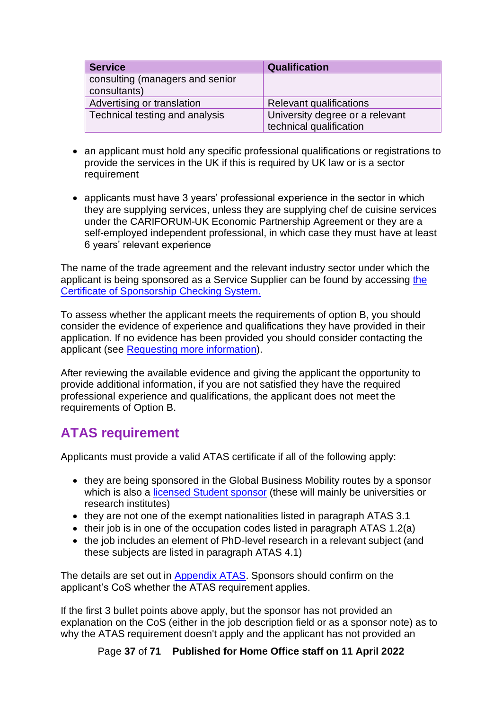| <b>Service</b>                  | <b>Qualification</b>            |
|---------------------------------|---------------------------------|
| consulting (managers and senior |                                 |
| consultants)                    |                                 |
| Advertising or translation      | <b>Relevant qualifications</b>  |
| Technical testing and analysis  | University degree or a relevant |
|                                 | technical qualification         |

- an applicant must hold any specific professional qualifications or registrations to provide the services in the UK if this is required by UK law or is a sector requirement
- applicants must have 3 years' professional experience in the sector in which they are supplying services, unless they are supplying chef de cuisine services under the CARIFORUM-UK Economic Partnership Agreement or they are a self-employed independent professional, in which case they must have at least 6 years' relevant experience

The name of the trade agreement and the relevant industry sector under which the applicant is being sponsored as a Service Supplier can be found by accessing [the](#page-57-1)  [Certificate of Sponsorship Checking System.](#page-57-1)

To assess whether the applicant meets the requirements of option B, you should consider the evidence of experience and qualifications they have provided in their application. If no evidence has been provided you should consider contacting the applicant (see [Requesting more information\)](#page-59-1).

After reviewing the available evidence and giving the applicant the opportunity to provide additional information, if you are not satisfied they have the required professional experience and qualifications, the applicant does not meet the requirements of Option B.

## <span id="page-36-0"></span>**ATAS requirement**

Applicants must provide a valid ATAS certificate if all of the following apply:

- they are being sponsored in the Global Business Mobility routes by a sponsor which is also a [licensed Student sponsor](https://www.gov.uk/government/publications/register-of-licensed-sponsors-students) (these will mainly be universities or research institutes)
- they are not one of the exempt nationalities listed in paragraph ATAS 3.1
- their job is in one of the occupation codes listed in paragraph ATAS 1.2(a)
- the job includes an element of PhD-level research in a relevant subject (and these subjects are listed in paragraph ATAS 4.1)

The details are set out in [Appendix ATAS.](https://www.gov.uk/guidance/immigration-rules/immigration-rules-appendix-atas-academic-technology-approval-scheme-atas) Sponsors should confirm on the applicant's CoS whether the ATAS requirement applies.

If the first 3 bullet points above apply, but the sponsor has not provided an explanation on the CoS (either in the job description field or as a sponsor note) as to why the ATAS requirement doesn't apply and the applicant has not provided an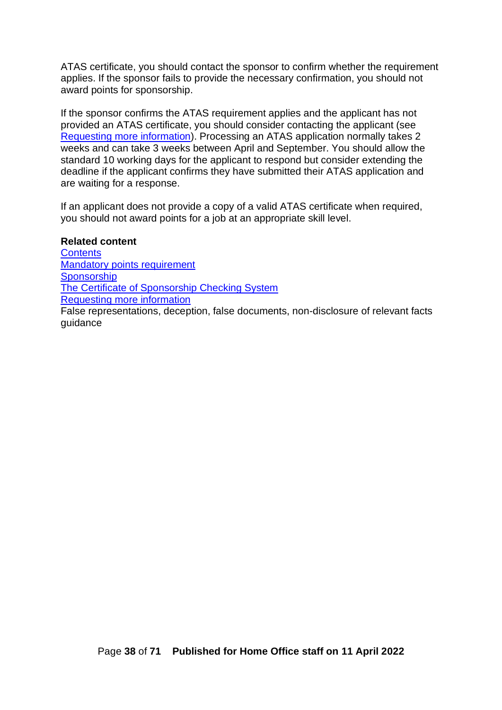ATAS certificate, you should contact the sponsor to confirm whether the requirement applies. If the sponsor fails to provide the necessary confirmation, you should not award points for sponsorship.

If the sponsor confirms the ATAS requirement applies and the applicant has not provided an ATAS certificate, you should consider contacting the applicant (see [Requesting more information\)](#page-59-1). Processing an ATAS application normally takes 2 weeks and can take 3 weeks between April and September. You should allow the standard 10 working days for the applicant to respond but consider extending the deadline if the applicant confirms they have submitted their ATAS application and are waiting for a response.

If an applicant does not provide a copy of a valid ATAS certificate when required, you should not award points for a job at an appropriate skill level.

#### **Related content**

**[Contents](#page-1-0)** [Mandatory points requirement](#page-24-0) **[Sponsorship](#page-25-0)** [The Certificate of Sponsorship Checking System](#page-57-1) [Requesting more information](#page-59-1)

<span id="page-37-0"></span>False representations, deception, false documents, non-disclosure of relevant facts guidance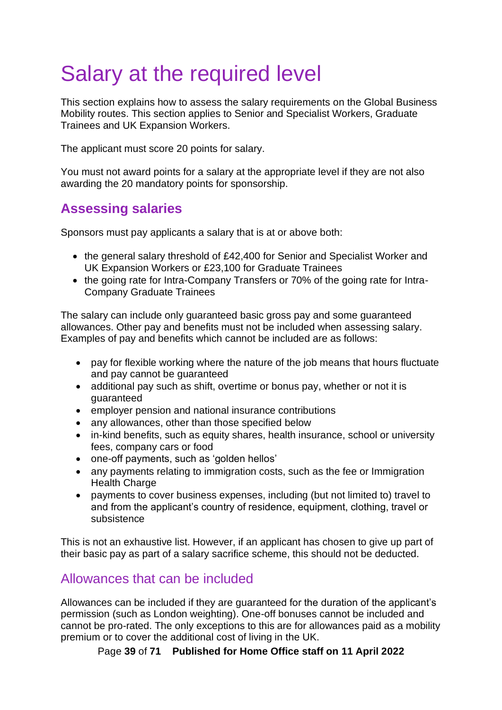# <span id="page-38-0"></span>Salary at the required level

This section explains how to assess the salary requirements on the Global Business Mobility routes. This section applies to Senior and Specialist Workers, Graduate Trainees and UK Expansion Workers.

The applicant must score 20 points for salary.

You must not award points for a salary at the appropriate level if they are not also awarding the 20 mandatory points for sponsorship.

## <span id="page-38-1"></span>**Assessing salaries**

Sponsors must pay applicants a salary that is at or above both:

- the general salary threshold of £42,400 for Senior and Specialist Worker and UK Expansion Workers or £23,100 for Graduate Trainees
- the going rate for Intra-Company Transfers or 70% of the going rate for Intra-Company Graduate Trainees

The salary can include only guaranteed basic gross pay and some guaranteed allowances. Other pay and benefits must not be included when assessing salary. Examples of pay and benefits which cannot be included are as follows:

- pay for flexible working where the nature of the job means that hours fluctuate and pay cannot be guaranteed
- additional pay such as shift, overtime or bonus pay, whether or not it is guaranteed
- employer pension and national insurance contributions
- any allowances, other than those specified below
- in-kind benefits, such as equity shares, health insurance, school or university fees, company cars or food
- one-off payments, such as 'golden hellos'
- any payments relating to immigration costs, such as the fee or Immigration **Health Charge**
- payments to cover business expenses, including (but not limited to) travel to and from the applicant's country of residence, equipment, clothing, travel or subsistence

This is not an exhaustive list. However, if an applicant has chosen to give up part of their basic pay as part of a salary sacrifice scheme, this should not be deducted.

### <span id="page-38-2"></span>Allowances that can be included

Allowances can be included if they are guaranteed for the duration of the applicant's permission (such as London weighting). One-off bonuses cannot be included and cannot be pro-rated. The only exceptions to this are for allowances paid as a mobility premium or to cover the additional cost of living in the UK.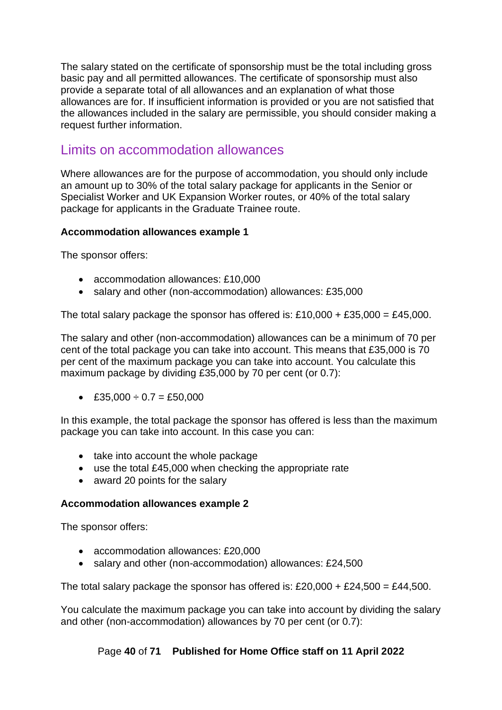The salary stated on the certificate of sponsorship must be the total including gross basic pay and all permitted allowances. The certificate of sponsorship must also provide a separate total of all allowances and an explanation of what those allowances are for. If insufficient information is provided or you are not satisfied that the allowances included in the salary are permissible, you should consider making a request further information.

### <span id="page-39-0"></span>Limits on accommodation allowances

Where allowances are for the purpose of accommodation, you should only include an amount up to 30% of the total salary package for applicants in the Senior or Specialist Worker and UK Expansion Worker routes, or 40% of the total salary package for applicants in the Graduate Trainee route.

#### **Accommodation allowances example 1**

The sponsor offers:

- accommodation allowances: £10,000
- salary and other (non-accommodation) allowances: £35,000

The total salary package the sponsor has offered is:  $£10,000 + £35,000 = £45,000$ .

The salary and other (non-accommodation) allowances can be a minimum of 70 per cent of the total package you can take into account. This means that £35,000 is 70 per cent of the maximum package you can take into account. You calculate this maximum package by dividing £35,000 by 70 per cent (or 0.7):

• £35,000  $\div$  0.7 = £50,000

In this example, the total package the sponsor has offered is less than the maximum package you can take into account. In this case you can:

- take into account the whole package
- use the total £45,000 when checking the appropriate rate
- award 20 points for the salary

#### **Accommodation allowances example 2**

The sponsor offers:

- accommodation allowances: £20,000
- salary and other (non-accommodation) allowances: £24,500

The total salary package the sponsor has offered is: £20,000 + £24,500 = £44,500.

You calculate the maximum package you can take into account by dividing the salary and other (non-accommodation) allowances by 70 per cent (or 0.7):

#### Page **40** of **71 Published for Home Office staff on 11 April 2022**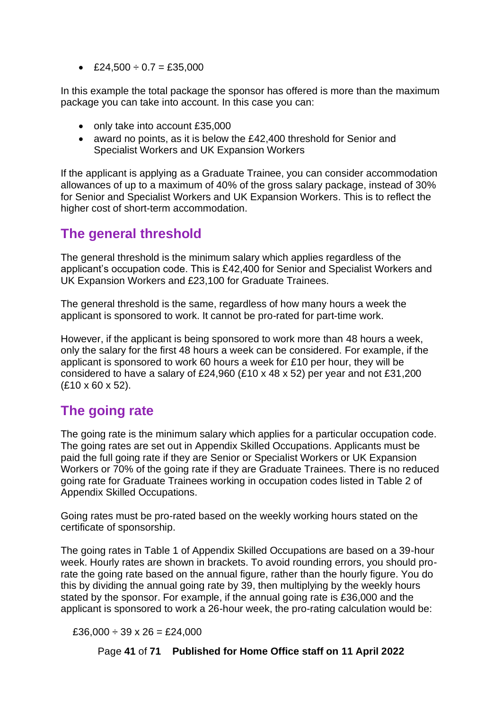• £24,500  $\div$  0.7 = £35,000

In this example the total package the sponsor has offered is more than the maximum package you can take into account. In this case you can:

- only take into account £35,000
- award no points, as it is below the £42,400 threshold for Senior and Specialist Workers and UK Expansion Workers

If the applicant is applying as a Graduate Trainee, you can consider accommodation allowances of up to a maximum of 40% of the gross salary package, instead of 30% for Senior and Specialist Workers and UK Expansion Workers. This is to reflect the higher cost of short-term accommodation.

## <span id="page-40-0"></span>**The general threshold**

The general threshold is the minimum salary which applies regardless of the applicant's occupation code. This is £42,400 for Senior and Specialist Workers and UK Expansion Workers and £23,100 for Graduate Trainees.

The general threshold is the same, regardless of how many hours a week the applicant is sponsored to work. It cannot be pro-rated for part-time work.

However, if the applicant is being sponsored to work more than 48 hours a week, only the salary for the first 48 hours a week can be considered. For example, if the applicant is sponsored to work 60 hours a week for £10 per hour, they will be considered to have a salary of £24,960 (£10 x 48 x 52) per year and not £31,200 (£10 x 60 x 52).

## <span id="page-40-1"></span>**The going rate**

The going rate is the minimum salary which applies for a particular occupation code. The going rates are set out in Appendix Skilled Occupations. Applicants must be paid the full going rate if they are Senior or Specialist Workers or UK Expansion Workers or 70% of the going rate if they are Graduate Trainees. There is no reduced going rate for Graduate Trainees working in occupation codes listed in Table 2 of Appendix Skilled Occupations.

Going rates must be pro-rated based on the weekly working hours stated on the certificate of sponsorship.

The going rates in Table 1 of Appendix Skilled Occupations are based on a 39-hour week. Hourly rates are shown in brackets. To avoid rounding errors, you should prorate the going rate based on the annual figure, rather than the hourly figure. You do this by dividing the annual going rate by 39, then multiplying by the weekly hours stated by the sponsor. For example, if the annual going rate is £36,000 and the applicant is sponsored to work a 26-hour week, the pro-rating calculation would be:

 $£36,000 \div 39 \times 26 = £24,000$ 

Page **41** of **71 Published for Home Office staff on 11 April 2022**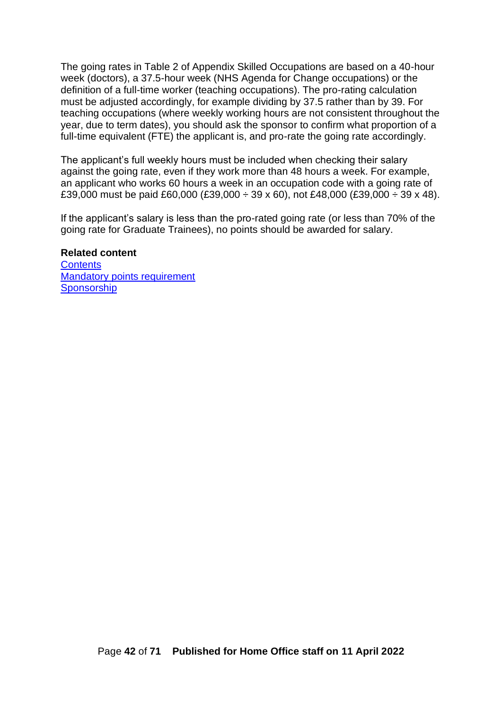The going rates in Table 2 of Appendix Skilled Occupations are based on a 40-hour week (doctors), a 37.5-hour week (NHS Agenda for Change occupations) or the definition of a full-time worker (teaching occupations). The pro-rating calculation must be adjusted accordingly, for example dividing by 37.5 rather than by 39. For teaching occupations (where weekly working hours are not consistent throughout the year, due to term dates), you should ask the sponsor to confirm what proportion of a full-time equivalent (FTE) the applicant is, and pro-rate the going rate accordingly.

The applicant's full weekly hours must be included when checking their salary against the going rate, even if they work more than 48 hours a week. For example, an applicant who works 60 hours a week in an occupation code with a going rate of £39,000 must be paid £60,000 (£39,000  $\div$  39 x 60), not £48,000 (£39,000  $\div$  39 x 48).

If the applicant's salary is less than the pro-rated going rate (or less than 70% of the going rate for Graduate Trainees), no points should be awarded for salary.

#### **Related content**

<span id="page-41-0"></span>**[Contents](#page-1-0)** [Mandatory points requirement](#page-24-0) **[Sponsorship](#page-25-0)**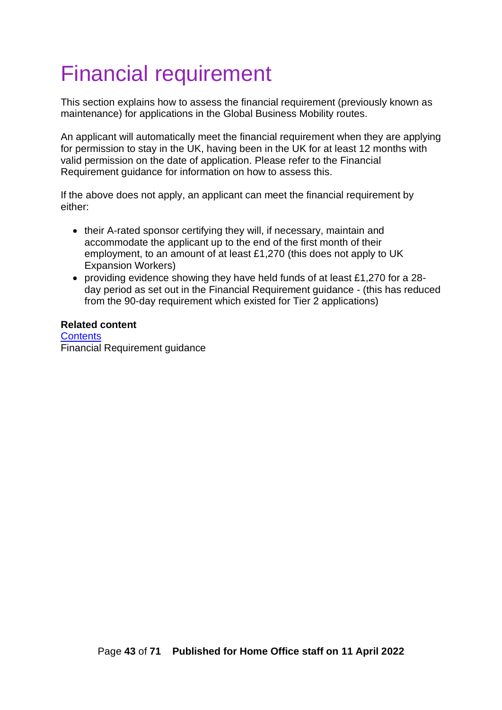# <span id="page-42-0"></span>Financial requirement

This section explains how to assess the financial requirement (previously known as maintenance) for applications in the Global Business Mobility routes.

An applicant will automatically meet the financial requirement when they are applying for permission to stay in the UK, having been in the UK for at least 12 months with valid permission on the date of application. Please refer to the Financial Requirement guidance for information on how to assess this.

If the above does not apply, an applicant can meet the financial requirement by either:

- their A-rated sponsor certifying they will, if necessary, maintain and accommodate the applicant up to the end of the first month of their employment, to an amount of at least £1,270 (this does not apply to UK Expansion Workers)
- providing evidence showing they have held funds of at least £1,270 for a 28 day period as set out in the Financial Requirement guidance - (this has reduced from the 90-day requirement which existed for Tier 2 applications)

#### <span id="page-42-1"></span>**Related content [Contents](#page-1-0)** Financial Requirement guidance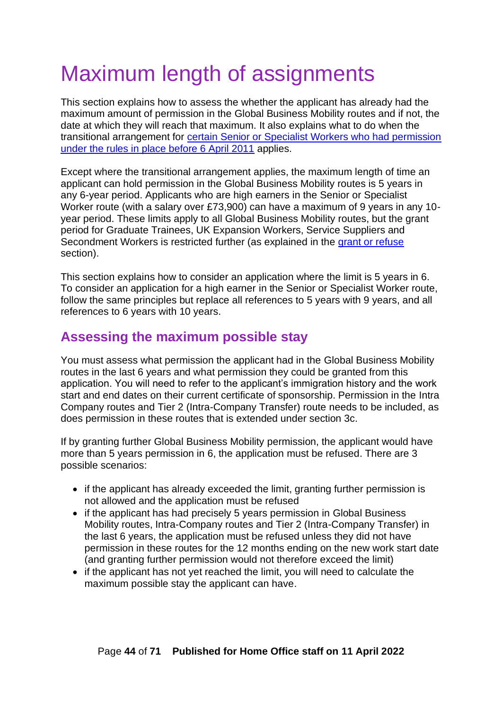# <span id="page-43-0"></span>Maximum length of assignments

This section explains how to assess the whether the applicant has already had the maximum amount of permission in the Global Business Mobility routes and if not, the date at which they will reach that maximum. It also explains what to do when the transitional arrangement for certain Senior or Specialist [Workers who had permission](#page-46-0)  [under the rules in place before 6 April 2011](#page-46-0) applies.

Except where the transitional arrangement applies, the maximum length of time an applicant can hold permission in the Global Business Mobility routes is 5 years in any 6-year period. Applicants who are high earners in the Senior or Specialist Worker route (with a salary over £73,900) can have a maximum of 9 years in any 10 year period. These limits apply to all Global Business Mobility routes, but the grant period for Graduate Trainees, UK Expansion Workers, Service Suppliers and Secondment Workers is restricted further (as explained in the [grant or refuse](#page-49-2) section).

This section explains how to consider an application where the limit is 5 years in 6. To consider an application for a high earner in the Senior or Specialist Worker route, follow the same principles but replace all references to 5 years with 9 years, and all references to 6 years with 10 years.

## <span id="page-43-1"></span>**Assessing the maximum possible stay**

You must assess what permission the applicant had in the Global Business Mobility routes in the last 6 years and what permission they could be granted from this application. You will need to refer to the applicant's immigration history and the work start and end dates on their current certificate of sponsorship. Permission in the Intra Company routes and Tier 2 (Intra-Company Transfer) route needs to be included, as does permission in these routes that is extended under section 3c.

If by granting further Global Business Mobility permission, the applicant would have more than 5 years permission in 6, the application must be refused. There are 3 possible scenarios:

- if the applicant has already exceeded the limit, granting further permission is not allowed and the application must be refused
- if the applicant has had precisely 5 years permission in Global Business Mobility routes, Intra-Company routes and Tier 2 (Intra-Company Transfer) in the last 6 years, the application must be refused unless they did not have permission in these routes for the 12 months ending on the new work start date (and granting further permission would not therefore exceed the limit)
- if the applicant has not yet reached the limit, you will need to calculate the maximum possible stay the applicant can have.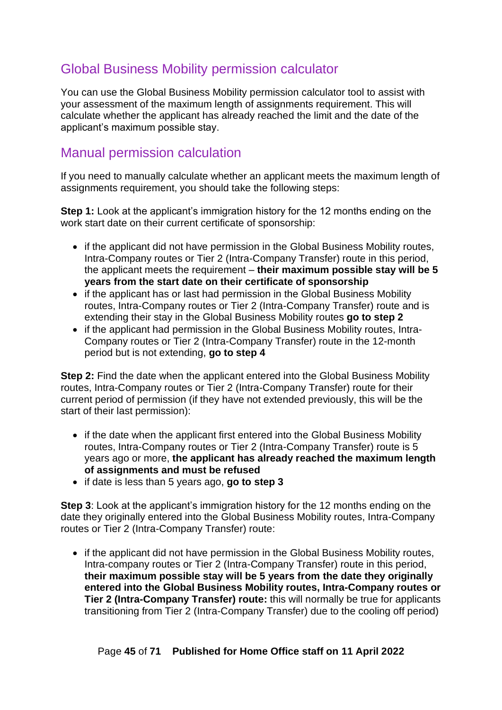## <span id="page-44-0"></span>Global Business Mobility permission calculator

You can use the Global Business Mobility permission calculator tool to assist with your assessment of the maximum length of assignments requirement. This will calculate whether the applicant has already reached the limit and the date of the applicant's maximum possible stay.

### <span id="page-44-1"></span>Manual permission calculation

If you need to manually calculate whether an applicant meets the maximum length of assignments requirement, you should take the following steps:

**Step 1:** Look at the applicant's immigration history for the 12 months ending on the work start date on their current certificate of sponsorship:

- if the applicant did not have permission in the Global Business Mobility routes, Intra-Company routes or Tier 2 (Intra-Company Transfer) route in this period, the applicant meets the requirement – **their maximum possible stay will be 5 years from the start date on their certificate of sponsorship**
- if the applicant has or last had permission in the Global Business Mobility routes, Intra-Company routes or Tier 2 (Intra-Company Transfer) route and is extending their stay in the Global Business Mobility routes **go to step 2**
- if the applicant had permission in the Global Business Mobility routes, Intra-Company routes or Tier 2 (Intra-Company Transfer) route in the 12-month period but is not extending, **go to step 4**

**Step 2:** Find the date when the applicant entered into the Global Business Mobility routes, Intra-Company routes or Tier 2 (Intra-Company Transfer) route for their current period of permission (if they have not extended previously, this will be the start of their last permission):

- if the date when the applicant first entered into the Global Business Mobility routes, Intra-Company routes or Tier 2 (Intra-Company Transfer) route is 5 years ago or more, **the applicant has already reached the maximum length of assignments and must be refused**
- if date is less than 5 years ago, **go to step 3**

**Step 3:** Look at the applicant's immigration history for the 12 months ending on the date they originally entered into the Global Business Mobility routes, Intra-Company routes or Tier 2 (Intra-Company Transfer) route:

• if the applicant did not have permission in the Global Business Mobility routes, Intra-company routes or Tier 2 (Intra-Company Transfer) route in this period, **their maximum possible stay will be 5 years from the date they originally entered into the Global Business Mobility routes, Intra-Company routes or Tier 2 (Intra-Company Transfer) route:** this will normally be true for applicants transitioning from Tier 2 (Intra-Company Transfer) due to the cooling off period)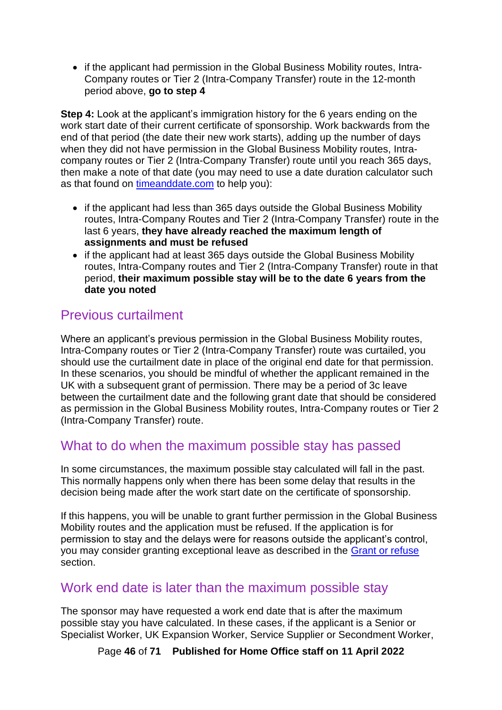• if the applicant had permission in the Global Business Mobility routes, Intra-Company routes or Tier 2 (Intra-Company Transfer) route in the 12-month period above, **go to step 4**

**Step 4:** Look at the applicant's immigration history for the 6 years ending on the work start date of their current certificate of sponsorship. Work backwards from the end of that period (the date their new work starts), adding up the number of days when they did not have permission in the Global Business Mobility routes, Intracompany routes or Tier 2 (Intra-Company Transfer) route until you reach 365 days, then make a note of that date (you may need to use a date duration calculator such as that found on [timeanddate.com](https://www.timeanddate.com/date/duration.html) to help you):

- if the applicant had less than 365 days outside the Global Business Mobility routes, Intra-Company Routes and Tier 2 (Intra-Company Transfer) route in the last 6 years, **they have already reached the maximum length of assignments and must be refused**
- if the applicant had at least 365 days outside the Global Business Mobility routes, Intra-Company routes and Tier 2 (Intra-Company Transfer) route in that period, **their maximum possible stay will be to the date 6 years from the date you noted**

## <span id="page-45-0"></span>Previous curtailment

Where an applicant's previous permission in the Global Business Mobility routes, Intra-Company routes or Tier 2 (Intra-Company Transfer) route was curtailed, you should use the curtailment date in place of the original end date for that permission. In these scenarios, you should be mindful of whether the applicant remained in the UK with a subsequent grant of permission. There may be a period of 3c leave between the curtailment date and the following grant date that should be considered as permission in the Global Business Mobility routes, Intra-Company routes or Tier 2 (Intra-Company Transfer) route.

### <span id="page-45-1"></span>What to do when the maximum possible stay has passed

In some circumstances, the maximum possible stay calculated will fall in the past. This normally happens only when there has been some delay that results in the decision being made after the work start date on the certificate of sponsorship.

If this happens, you will be unable to grant further permission in the Global Business Mobility routes and the application must be refused. If the application is for permission to stay and the delays were for reasons outside the applicant's control, you may consider granting exceptional leave as described in the [Grant or refuse](#page-47-0) section.

### <span id="page-45-2"></span>Work end date is later than the maximum possible stay

The sponsor may have requested a work end date that is after the maximum possible stay you have calculated. In these cases, if the applicant is a Senior or Specialist Worker, UK Expansion Worker, Service Supplier or Secondment Worker,

Page **46** of **71 Published for Home Office staff on 11 April 2022**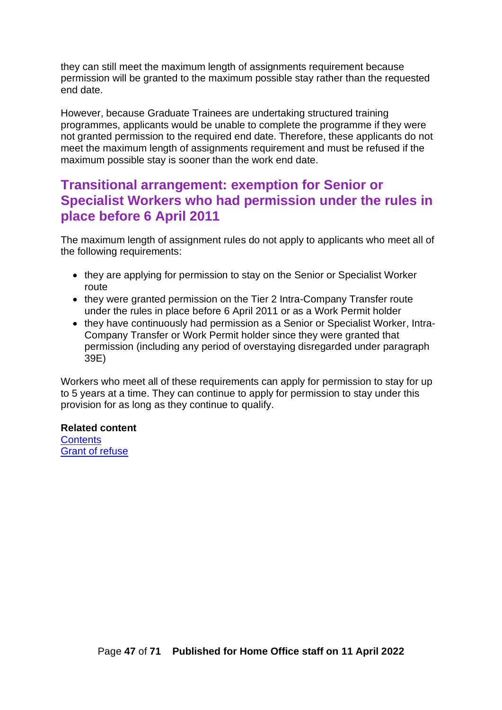they can still meet the maximum length of assignments requirement because permission will be granted to the maximum possible stay rather than the requested end date.

However, because Graduate Trainees are undertaking structured training programmes, applicants would be unable to complete the programme if they were not granted permission to the required end date. Therefore, these applicants do not meet the maximum length of assignments requirement and must be refused if the maximum possible stay is sooner than the work end date.

## <span id="page-46-0"></span>**Transitional arrangement: exemption for Senior or Specialist Workers who had permission under the rules in place before 6 April 2011**

The maximum length of assignment rules do not apply to applicants who meet all of the following requirements:

- they are applying for permission to stay on the Senior or Specialist Worker route
- they were granted permission on the Tier 2 Intra-Company Transfer route under the rules in place before 6 April 2011 or as a Work Permit holder
- they have continuously had permission as a Senior or Specialist Worker, Intra-Company Transfer or Work Permit holder since they were granted that permission (including any period of overstaying disregarded under paragraph 39E)

Workers who meet all of these requirements can apply for permission to stay for up to 5 years at a time. They can continue to apply for permission to stay under this provision for as long as they continue to qualify.

**Related content [Contents](#page-1-0)** Grant of refuse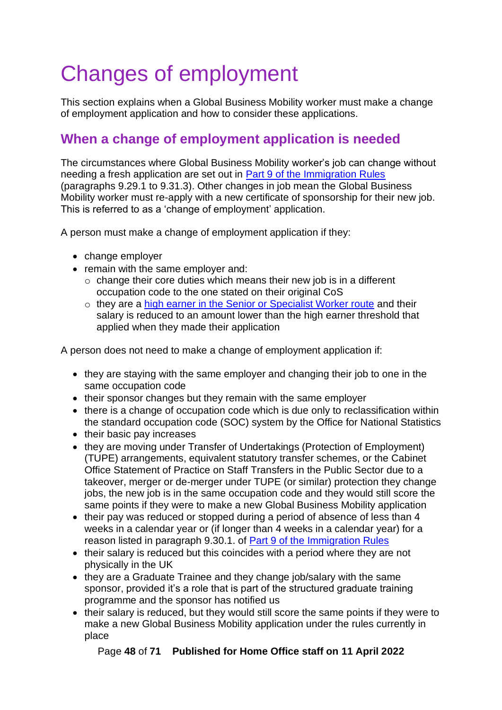# <span id="page-47-0"></span>Changes of employment

This section explains when a Global Business Mobility worker must make a change of employment application and how to consider these applications.

## <span id="page-47-1"></span>**When a change of employment application is needed**

The circumstances where Global Business Mobility worker's job can change without needing a fresh application are set out in [Part 9 of the Immigration Rules](https://www.gov.uk/guidance/immigration-rules/immigration-rules-part-9-grounds-for-refusal) (paragraphs 9.29.1 to 9.31.3). Other changes in job mean the Global Business Mobility worker must re-apply with a new certificate of sponsorship for their new job. This is referred to as a 'change of employment' application.

A person must make a change of employment application if they:

- change employer
- remain with the same employer and:
	- o change their core duties which means their new job is in a different occupation code to the one stated on their original CoS
	- o they are a high earner in the Senior or Specialist Worker route and their salary is reduced to an amount lower than the high earner threshold that applied when they made their application

A person does not need to make a change of employment application if:

- they are staying with the same employer and changing their job to one in the same occupation code
- their sponsor changes but they remain with the same employer
- there is a change of occupation code which is due only to reclassification within the standard occupation code (SOC) system by the Office for National Statistics
- their basic pay increases
- they are moving under Transfer of Undertakings (Protection of Employment) (TUPE) arrangements, equivalent statutory transfer schemes, or the Cabinet Office Statement of Practice on Staff Transfers in the Public Sector due to a takeover, merger or de-merger under TUPE (or similar) protection they change jobs, the new job is in the same occupation code and they would still score the same points if they were to make a new Global Business Mobility application
- their pay was reduced or stopped during a period of absence of less than 4 weeks in a calendar year or (if longer than 4 weeks in a calendar year) for a reason listed in paragraph 9.30.1. of [Part 9 of the Immigration Rules](https://www.gov.uk/guidance/immigration-rules/immigration-rules-part-9-grounds-for-refusal)
- their salary is reduced but this coincides with a period where they are not physically in the UK
- they are a Graduate Trainee and they change job/salary with the same sponsor, provided it's a role that is part of the structured graduate training programme and the sponsor has notified us
- their salary is reduced, but they would still score the same points if they were to make a new Global Business Mobility application under the rules currently in place

Page **48** of **71 Published for Home Office staff on 11 April 2022**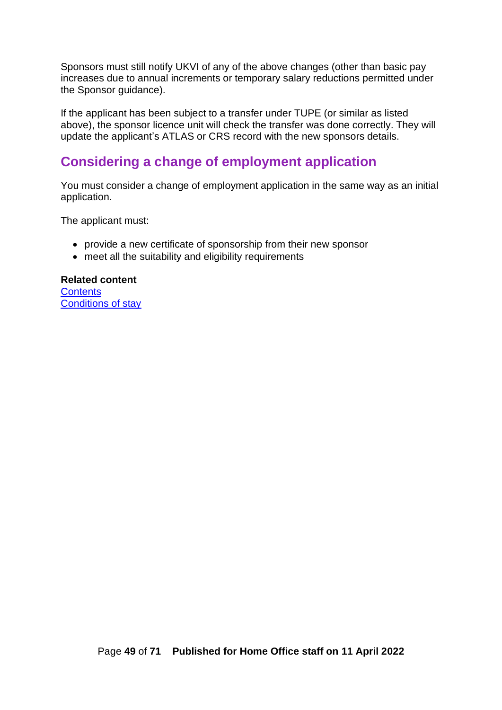Sponsors must still notify UKVI of any of the above changes (other than basic pay increases due to annual increments or temporary salary reductions permitted under the Sponsor guidance).

If the applicant has been subject to a transfer under TUPE (or similar as listed above), the sponsor licence unit will check the transfer was done correctly. They will update the applicant's ATLAS or CRS record with the new sponsors details.

## <span id="page-48-0"></span>**Considering a change of employment application**

You must consider a change of employment application in the same way as an initial application.

The applicant must:

- provide a new certificate of sponsorship from their new sponsor
- meet all the suitability and eligibility requirements

**Related content [Contents](#page-1-0)** Conditions of stay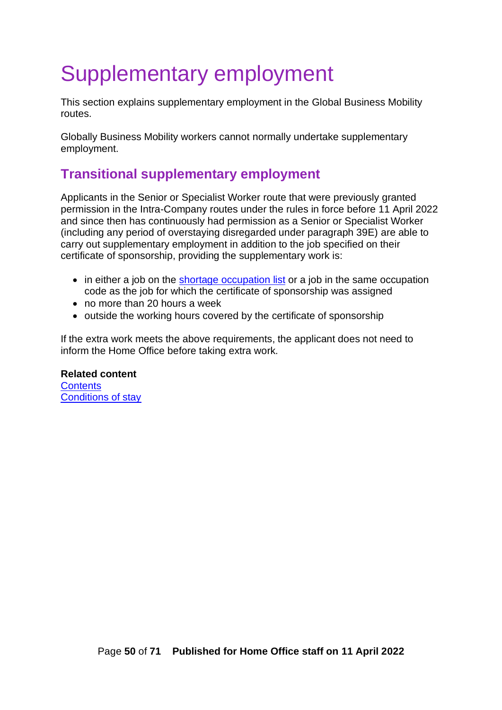# <span id="page-49-0"></span>Supplementary employment

This section explains supplementary employment in the Global Business Mobility routes.

Globally Business Mobility workers cannot normally undertake supplementary employment.

## <span id="page-49-1"></span>**Transitional supplementary employment**

Applicants in the Senior or Specialist Worker route that were previously granted permission in the Intra-Company routes under the rules in force before 11 April 2022 and since then has continuously had permission as a Senior or Specialist Worker (including any period of overstaying disregarded under paragraph 39E) are able to carry out supplementary employment in addition to the job specified on their certificate of sponsorship, providing the supplementary work is:

- in either a job on the [shortage occupation list](https://www.gov.uk/guidance/immigration-rules/immigration-rules-appendix-shortage-occupation-list) or a job in the same occupation code as the job for which the certificate of sponsorship was assigned
- no more than 20 hours a week
- outside the working hours covered by the certificate of sponsorship

If the extra work meets the above requirements, the applicant does not need to inform the Home Office before taking extra work.

#### **Related content**

<span id="page-49-2"></span>**[Contents](#page-1-0)** Conditions of stay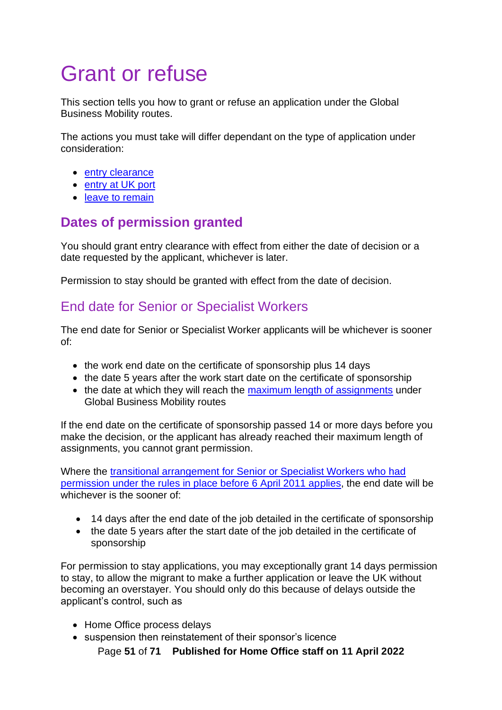# <span id="page-50-0"></span>Grant or refuse

This section tells you how to grant or refuse an application under the Global Business Mobility routes.

The actions you must take will differ dependant on the type of application under consideration:

- entry clearance
- entry at UK port
- leave to remain

## <span id="page-50-1"></span>**Dates of permission granted**

You should grant entry clearance with effect from either the date of decision or a date requested by the applicant, whichever is later.

Permission to stay should be granted with effect from the date of decision.

## <span id="page-50-2"></span>End date for Senior or Specialist Workers

The end date for Senior or Specialist Worker applicants will be whichever is sooner of:

- the work end date on the certificate of sponsorship plus 14 days
- the date 5 years after the work start date on the certificate of sponsorship
- the date at which they will reach the [maximum length of assignments](#page-43-0) under Global Business Mobility routes

If the end date on the certificate of sponsorship passed 14 or more days before you make the decision, or the applicant has already reached their maximum length of assignments, you cannot grant permission.

Where the transitional arrangement [for Senior or Specialist Workers](#page-46-0) who had [permission under the rules in place before 6 April 2011 applies,](#page-46-0) the end date will be whichever is the sooner of

- 14 days after the end date of the job detailed in the certificate of sponsorship
- the date 5 years after the start date of the job detailed in the certificate of sponsorship

For permission to stay applications, you may exceptionally grant 14 days permission to stay, to allow the migrant to make a further application or leave the UK without becoming an overstayer. You should only do this because of delays outside the applicant's control, such as

- Home Office process delays
- suspension then reinstatement of their sponsor's licence

Page **51** of **71 Published for Home Office staff on 11 April 2022**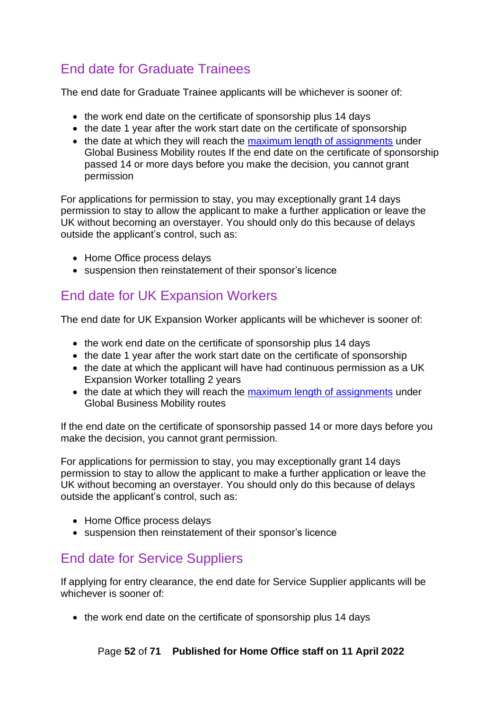## <span id="page-51-0"></span>End date for Graduate Trainees

The end date for Graduate Trainee applicants will be whichever is sooner of:

- the work end date on the certificate of sponsorship plus 14 days
- the date 1 year after the work start date on the certificate of sponsorship
- the date at which they will reach the [maximum length of assignments](#page-43-0) under Global Business Mobility routes If the end date on the certificate of sponsorship passed 14 or more days before you make the decision, you cannot grant permission

For applications for permission to stay, you may exceptionally grant 14 days permission to stay to allow the applicant to make a further application or leave the UK without becoming an overstayer. You should only do this because of delays outside the applicant's control, such as:

- Home Office process delays
- suspension then reinstatement of their sponsor's licence

## <span id="page-51-1"></span>End date for UK Expansion Workers

The end date for UK Expansion Worker applicants will be whichever is sooner of:

- the work end date on the certificate of sponsorship plus 14 days
- the date 1 year after the work start date on the certificate of sponsorship
- the date at which the applicant will have had continuous permission as a UK Expansion Worker totalling 2 years
- the date at which they will reach the [maximum length of assignments](#page-43-0) under Global Business Mobility routes

If the end date on the certificate of sponsorship passed 14 or more days before you make the decision, you cannot grant permission.

For applications for permission to stay, you may exceptionally grant 14 days permission to stay to allow the applicant to make a further application or leave the UK without becoming an overstayer. You should only do this because of delays outside the applicant's control, such as:

- Home Office process delays
- suspension then reinstatement of their sponsor's licence

## <span id="page-51-2"></span>End date for Service Suppliers

If applying for entry clearance, the end date for Service Supplier applicants will be whichever is sooner of:

• the work end date on the certificate of sponsorship plus 14 days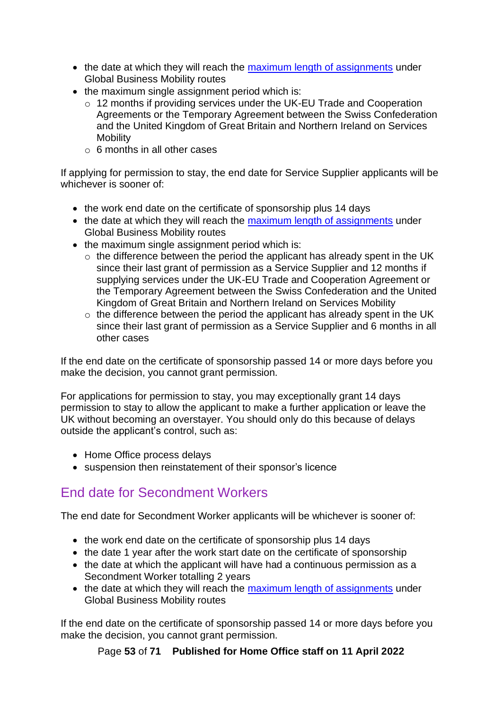- the date at which they will reach the [maximum length of assignments](#page-43-0) under Global Business Mobility routes
- the maximum single assignment period which is:
	- o 12 months if providing services under the UK-EU Trade and Cooperation Agreements or the Temporary Agreement between the Swiss Confederation and the United Kingdom of Great Britain and Northern Ireland on Services Mobility
	- $\circ$  6 months in all other cases

If applying for permission to stay, the end date for Service Supplier applicants will be whichever is sooner of:

- the work end date on the certificate of sponsorship plus 14 days
- the date at which they will reach the [maximum length of assignments](#page-43-0) under Global Business Mobility routes
- the maximum single assignment period which is:
	- o the difference between the period the applicant has already spent in the UK since their last grant of permission as a Service Supplier and 12 months if supplying services under the UK-EU Trade and Cooperation Agreement or the Temporary Agreement between the Swiss Confederation and the United Kingdom of Great Britain and Northern Ireland on Services Mobility
	- $\circ$  the difference between the period the applicant has already spent in the UK since their last grant of permission as a Service Supplier and 6 months in all other cases

If the end date on the certificate of sponsorship passed 14 or more days before you make the decision, you cannot grant permission.

For applications for permission to stay, you may exceptionally grant 14 days permission to stay to allow the applicant to make a further application or leave the UK without becoming an overstayer. You should only do this because of delays outside the applicant's control, such as:

- Home Office process delays
- suspension then reinstatement of their sponsor's licence

## <span id="page-52-0"></span>End date for Secondment Workers

The end date for Secondment Worker applicants will be whichever is sooner of:

- the work end date on the certificate of sponsorship plus 14 days
- the date 1 year after the work start date on the certificate of sponsorship
- the date at which the applicant will have had a continuous permission as a Secondment Worker totalling 2 years
- the date at which they will reach the [maximum length of assignments](#page-43-0) under Global Business Mobility routes

If the end date on the certificate of sponsorship passed 14 or more days before you make the decision, you cannot grant permission.

Page **53** of **71 Published for Home Office staff on 11 April 2022**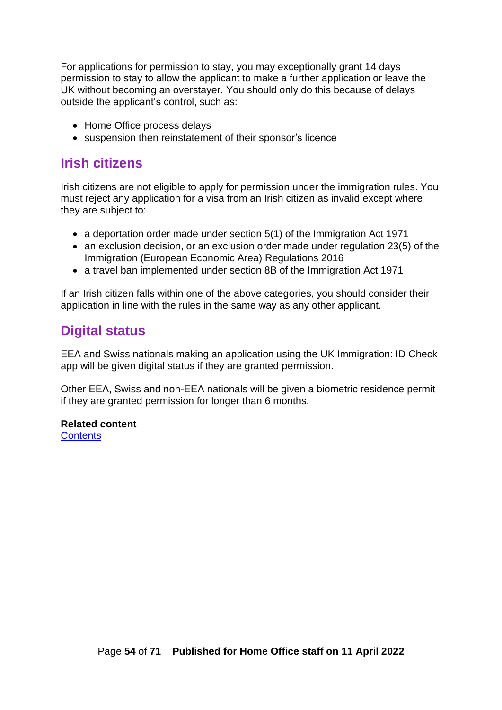For applications for permission to stay, you may exceptionally grant 14 days permission to stay to allow the applicant to make a further application or leave the UK without becoming an overstayer. You should only do this because of delays outside the applicant's control, such as:

- Home Office process delays
- suspension then reinstatement of their sponsor's licence

### <span id="page-53-0"></span>**Irish citizens**

Irish citizens are not eligible to apply for permission under the immigration rules. You must reject any application for a visa from an Irish citizen as invalid except where they are subject to:

- a deportation order made under section 5(1) of the Immigration Act 1971
- an exclusion decision, or an exclusion order made under regulation 23(5) of the Immigration (European Economic Area) Regulations 2016
- a travel ban implemented under section 8B of the Immigration Act 1971

If an Irish citizen falls within one of the above categories, you should consider their application in line with the rules in the same way as any other applicant.

## <span id="page-53-1"></span>**Digital status**

EEA and Swiss nationals making an application using the UK Immigration: ID Check app will be given digital status if they are granted permission.

Other EEA, Swiss and non-EEA nationals will be given a biometric residence permit if they are granted permission for longer than 6 months.

#### **Related content**

**[Contents](#page-1-0)**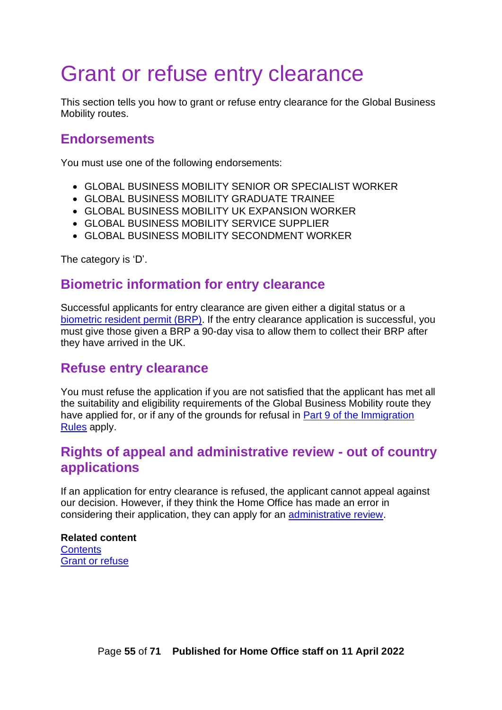# <span id="page-54-0"></span>Grant or refuse entry clearance

This section tells you how to grant or refuse entry clearance for the Global Business Mobility routes.

### <span id="page-54-1"></span>**Endorsements**

You must use one of the following endorsements:

- GLOBAL BUSINESS MOBILITY SENIOR OR SPECIALIST WORKER
- GLOBAL BUSINESS MOBILITY GRADUATE TRAINEE
- GLOBAL BUSINESS MOBILITY UK EXPANSION WORKER
- GLOBAL BUSINESS MOBILITY SERVICE SUPPLIER
- GLOBAL BUSINESS MOBILITY SECONDMENT WORKER

The category is 'D'.

### <span id="page-54-2"></span>**Biometric information for entry clearance**

Successful applicants for entry clearance are given either a digital status or a [biometric resident permit \(BRP\).](https://www.gov.uk/biometric-residence-permits) If the entry clearance application is successful, you must give those given a BRP a 90-day visa to allow them to collect their BRP after they have arrived in the UK.

### <span id="page-54-3"></span>**Refuse entry clearance**

You must refuse the application if you are not satisfied that the applicant has met all the suitability and eligibility requirements of the Global Business Mobility route they have applied for, or if any of the grounds for refusal in [Part 9 of the Immigration](https://www.gov.uk/guidance/immigration-rules/immigration-rules-part-9-grounds-for-refusal)  [Rules](https://www.gov.uk/guidance/immigration-rules/immigration-rules-part-9-grounds-for-refusal) apply.

## <span id="page-54-4"></span>**Rights of appeal and administrative review - out of country applications**

If an application for entry clearance is refused, the applicant cannot appeal against our decision. However, if they think the Home Office has made an error in considering their application, they can apply for an [administrative review.](https://www.gov.uk/ask-for-a-visa-administrative-review)

#### **Related content [Contents](#page-1-0)** [Grant or refuse](#page-50-0)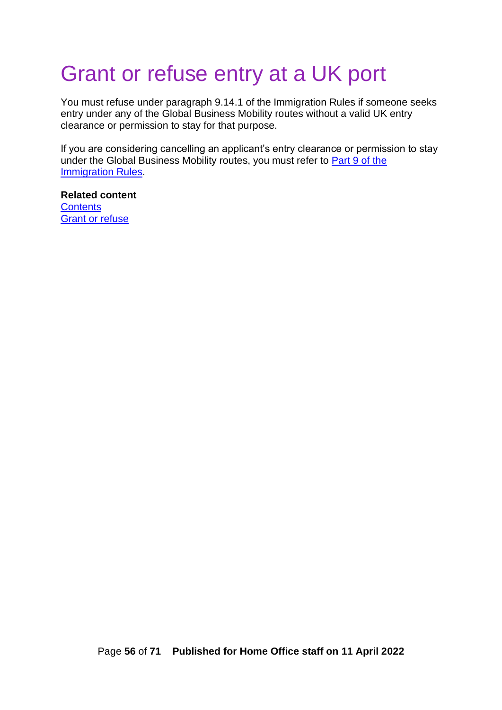# <span id="page-55-0"></span>Grant or refuse entry at a UK port

You must refuse under paragraph 9.14.1 of the Immigration Rules if someone seeks entry under any of the Global Business Mobility routes without a valid UK entry clearance or permission to stay for that purpose.

If you are considering cancelling an applicant's entry clearance or permission to stay under the Global Business Mobility routes, you must refer to **Part 9 of the** [Immigration Rules.](https://www.gov.uk/guidance/immigration-rules/immigration-rules-part-9-grounds-for-refusal)

**Related content [Contents](https://ukhomeoffice.sharepoint.com/sites/POL903/Skilled%20Work/Guidance/Skilled%20Worker%20caseworker%20guidance%20v0.1.docx#_Contents)** [Grant or refuse](#page-50-0)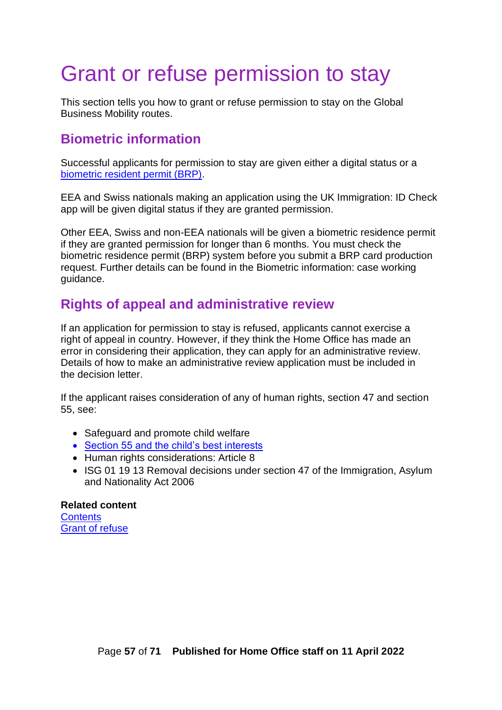# <span id="page-56-0"></span>Grant or refuse permission to stay

This section tells you how to grant or refuse permission to stay on the Global Business Mobility routes.

### <span id="page-56-1"></span>**Biometric information**

Successful applicants for permission to stay are given either a digital status or a [biometric resident permit \(BRP\).](https://www.gov.uk/biometric-residence-permits)

EEA and Swiss nationals making an application using the UK Immigration: ID Check app will be given digital status if they are granted permission.

Other EEA, Swiss and non-EEA nationals will be given a biometric residence permit if they are granted permission for longer than 6 months. You must check the biometric residence permit (BRP) system before you submit a BRP card production request. Further details can be found in the Biometric information: case working guidance.

## <span id="page-56-2"></span>**Rights of appeal and administrative review**

If an application for permission to stay is refused, applicants cannot exercise a right of appeal in country. However, if they think the Home Office has made an error in considering their application, they can apply for an administrative review. Details of how to make an administrative review application must be included in the decision letter.

If the applicant raises consideration of any of human rights, section 47 and section 55, see:

- Safeguard and promote child welfare
- [Section 55 and the child's best interests](https://www.legislation.gov.uk/ukpga/2009/11/section/55)
- Human rights considerations: Article 8
- ISG 01 19 13 Removal decisions under section 47 of the Immigration, Asylum and Nationality Act 2006

**Related content [Contents](https://ukhomeoffice.sharepoint.com/sites/POL903/Skilled%20Work/Guidance/Skilled%20Worker%20caseworker%20guidance%20v0.1.docx#_Contents)** [Grant of refuse](#page-50-0)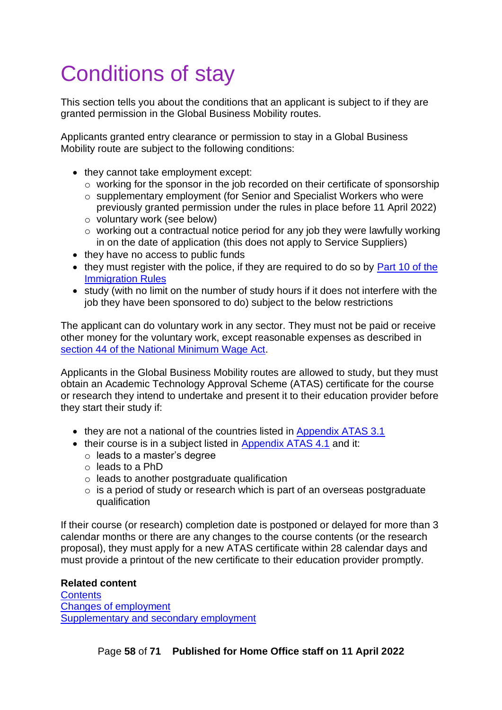# <span id="page-57-0"></span>Conditions of stay

This section tells you about the conditions that an applicant is subject to if they are granted permission in the Global Business Mobility routes.

Applicants granted entry clearance or permission to stay in a Global Business Mobility route are subject to the following conditions:

- they cannot take employment except:
	- o working for the sponsor in the job recorded on their certificate of sponsorship
	- o supplementary employment [\(for Senior and Specialist Workers who were](#page-49-0)  [previously granted permission under the rules in place before 11 April 2022\)](#page-49-0)
	- o voluntary work (see below)
	- $\circ$  working out a contractual notice period for any job they were lawfully working in on the date of application (this does not apply to Service Suppliers)
- they have no access to public funds
- they must register with the police, if they are required to do so by Part 10 of the [Immigration Rules](https://www.gov.uk/guidance/immigration-rules/immigration-rules-part-10-registering-with-the-police)
- study (with no limit on the number of study hours if it does not interfere with the job they have been sponsored to do) subject to the below restrictions

The applicant can do voluntary work in any sector. They must not be paid or receive other money for the voluntary work, except reasonable expenses as described in [section 44 of the National Minimum Wage Act.](http://www.legislation.gov.uk/ukpga/1998/39/section/44)

Applicants in the Global Business Mobility routes are allowed to study, but they must obtain an Academic Technology Approval Scheme (ATAS) certificate for the course or research they intend to undertake and present it to their education provider before they start their study if:

- they are not a national of the countries listed in [Appendix ATAS 3.1](https://www.gov.uk/guidance/immigration-rules/immigration-rules-appendix-atas-academic-technology-approval-scheme-atas)
- their course is in a subject listed in [Appendix ATAS 4.1](https://www.gov.uk/guidance/immigration-rules/immigration-rules-appendix-atas-academic-technology-approval-scheme-atas) and it:
	- o leads to a master's degree
	- o leads to a PhD
	- o leads to another postgraduate qualification
	- $\circ$  is a period of study or research which is part of an overseas postgraduate qualification

If their course (or research) completion date is postponed or delayed for more than 3 calendar months or there are any changes to the course contents (or the research proposal), they must apply for a new ATAS certificate within 28 calendar days and must provide a printout of the new certificate to their education provider promptly.

#### <span id="page-57-1"></span>**Related content [Contents](#page-1-0)** [Changes of employment](#page-47-0) [Supplementary and secondary employment](#page-49-0)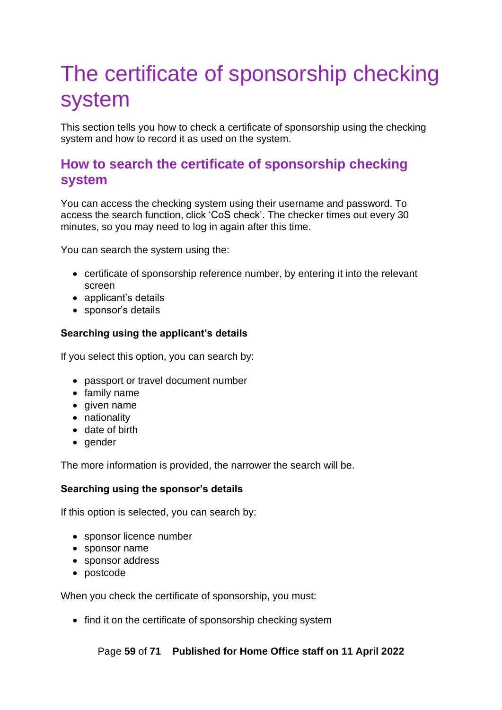# <span id="page-58-0"></span>The certificate of sponsorship checking system

This section tells you how to check a certificate of sponsorship using the checking system and how to record it as used on the system.

## <span id="page-58-1"></span>**How to search the certificate of sponsorship checking system**

You can access the checking system using their username and password. To access the search function, click 'CoS check'. The checker times out every 30 minutes, so you may need to log in again after this time.

You can search the system using the:

- certificate of sponsorship reference number, by entering it into the relevant screen
- applicant's details
- sponsor's details

#### **Searching using the applicant's details**

If you select this option, you can search by:

- passport or travel document number
- family name
- given name
- nationality
- date of birth
- gender

The more information is provided, the narrower the search will be.

#### **Searching using the sponsor's details**

If this option is selected, you can search by:

- sponsor licence number
- sponsor name
- sponsor address
- postcode

When you check the certificate of sponsorship, you must:

• find it on the certificate of sponsorship checking system

Page **59** of **71 Published for Home Office staff on 11 April 2022**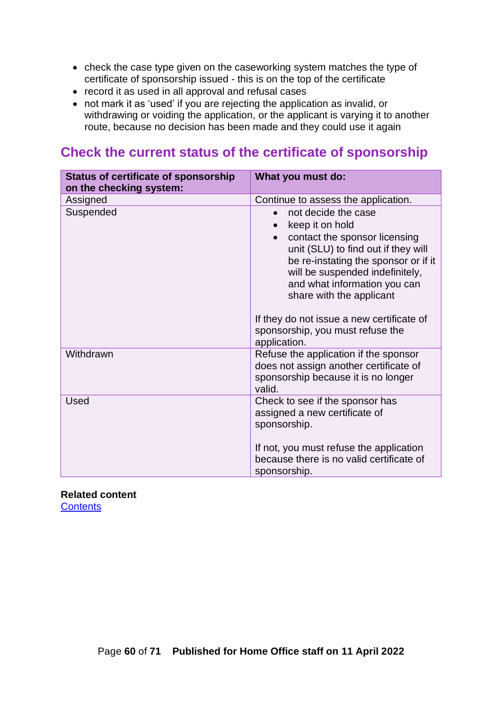- check the case type given on the caseworking system matches the type of certificate of sponsorship issued - this is on the top of the certificate
- record it as used in all approval and refusal cases
- not mark it as 'used' if you are rejecting the application as invalid, or withdrawing or voiding the application, or the applicant is varying it to another route, because no decision has been made and they could use it again

### <span id="page-59-0"></span>**Check the current status of the certificate of sponsorship**

| <b>Status of certificate of sponsorship</b><br>on the checking system: | What you must do:                                                                                                                                                                                                                                                                                                                                                                |
|------------------------------------------------------------------------|----------------------------------------------------------------------------------------------------------------------------------------------------------------------------------------------------------------------------------------------------------------------------------------------------------------------------------------------------------------------------------|
| Assigned                                                               | Continue to assess the application.                                                                                                                                                                                                                                                                                                                                              |
| Suspended                                                              | not decide the case<br>$\bullet$<br>keep it on hold<br>contact the sponsor licensing<br>$\bullet$<br>unit (SLU) to find out if they will<br>be re-instating the sponsor or if it<br>will be suspended indefinitely,<br>and what information you can<br>share with the applicant<br>If they do not issue a new certificate of<br>sponsorship, you must refuse the<br>application. |
| Withdrawn                                                              | Refuse the application if the sponsor<br>does not assign another certificate of<br>sponsorship because it is no longer<br>valid.                                                                                                                                                                                                                                                 |
| <b>Used</b>                                                            | Check to see if the sponsor has<br>assigned a new certificate of<br>sponsorship.<br>If not, you must refuse the application<br>because there is no valid certificate of<br>sponsorship.                                                                                                                                                                                          |

<span id="page-59-1"></span>**Related content [Contents](#page-1-0)**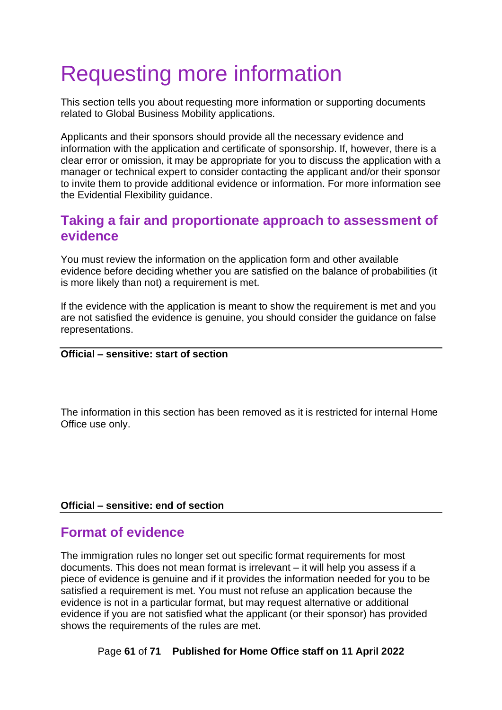# <span id="page-60-0"></span>Requesting more information

This section tells you about requesting more information or supporting documents related to Global Business Mobility applications.

Applicants and their sponsors should provide all the necessary evidence and information with the application and certificate of sponsorship. If, however, there is a clear error or omission, it may be appropriate for you to discuss the application with a manager or technical expert to consider contacting the applicant and/or their sponsor to invite them to provide additional evidence or information. For more information see the Evidential Flexibility guidance.

## <span id="page-60-1"></span>**Taking a fair and proportionate approach to assessment of evidence**

You must review the information on the application form and other available evidence before deciding whether you are satisfied on the balance of probabilities (it is more likely than not) a requirement is met.

If the evidence with the application is meant to show the requirement is met and you are not satisfied the evidence is genuine, you should consider the guidance on false representations.

#### **Official – sensitive: start of section**

The information in this section has been removed as it is restricted for internal Home Office use only.

#### **Official – sensitive: end of section**

### <span id="page-60-2"></span>**Format of evidence**

The immigration rules no longer set out specific format requirements for most documents. This does not mean format is irrelevant – it will help you assess if a piece of evidence is genuine and if it provides the information needed for you to be satisfied a requirement is met. You must not refuse an application because the evidence is not in a particular format, but may request alternative or additional evidence if you are not satisfied what the applicant (or their sponsor) has provided shows the requirements of the rules are met.

Page **61** of **71 Published for Home Office staff on 11 April 2022**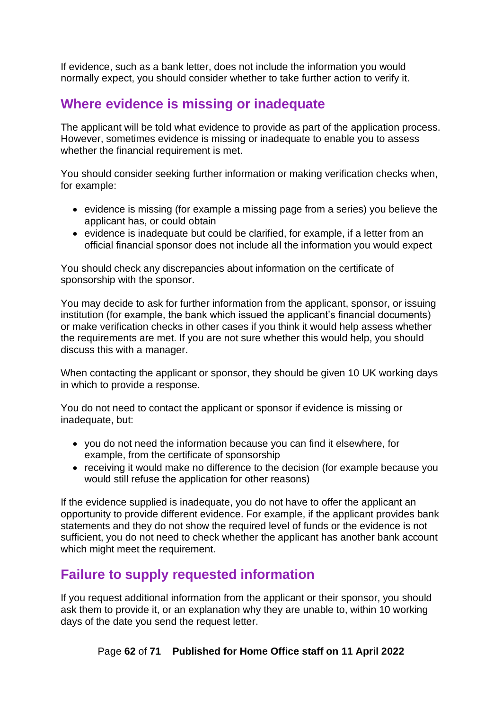If evidence, such as a bank letter, does not include the information you would normally expect, you should consider whether to take further action to verify it.

## <span id="page-61-0"></span>**Where evidence is missing or inadequate**

The applicant will be told what evidence to provide as part of the application process. However, sometimes evidence is missing or inadequate to enable you to assess whether the financial requirement is met.

You should consider seeking further information or making verification checks when, for example:

- evidence is missing (for example a missing page from a series) you believe the applicant has, or could obtain
- evidence is inadequate but could be clarified, for example, if a letter from an official financial sponsor does not include all the information you would expect

You should check any discrepancies about information on the certificate of sponsorship with the sponsor.

You may decide to ask for further information from the applicant, sponsor, or issuing institution (for example, the bank which issued the applicant's financial documents) or make verification checks in other cases if you think it would help assess whether the requirements are met. If you are not sure whether this would help, you should discuss this with a manager.

When contacting the applicant or sponsor, they should be given 10 UK working days in which to provide a response.

You do not need to contact the applicant or sponsor if evidence is missing or inadequate, but:

- you do not need the information because you can find it elsewhere, for example, from the certificate of sponsorship
- receiving it would make no difference to the decision (for example because you would still refuse the application for other reasons)

If the evidence supplied is inadequate, you do not have to offer the applicant an opportunity to provide different evidence. For example, if the applicant provides bank statements and they do not show the required level of funds or the evidence is not sufficient, you do not need to check whether the applicant has another bank account which might meet the requirement.

## <span id="page-61-1"></span>**Failure to supply requested information**

If you request additional information from the applicant or their sponsor, you should ask them to provide it, or an explanation why they are unable to, within 10 working days of the date you send the request letter.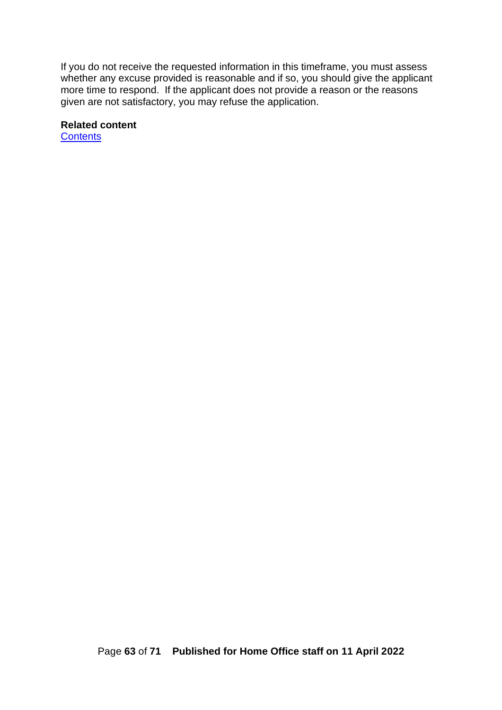If you do not receive the requested information in this timeframe, you must assess whether any excuse provided is reasonable and if so, you should give the applicant more time to respond. If the applicant does not provide a reason or the reasons given are not satisfactory, you may refuse the application.

#### **Related content**

<span id="page-62-0"></span>**[Contents](#page-1-0)**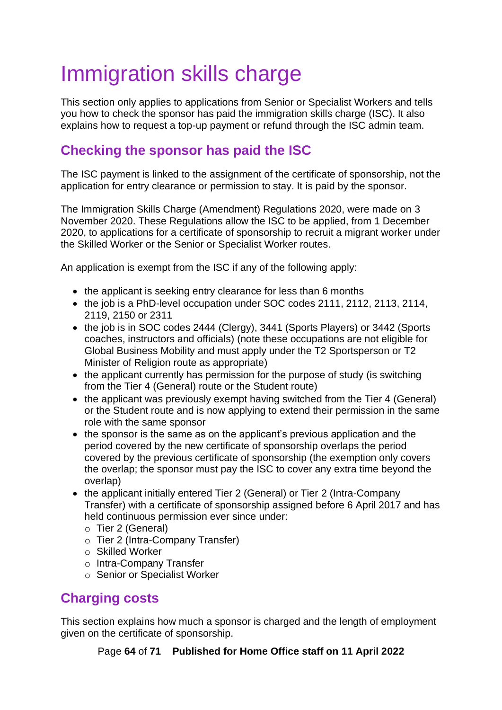# <span id="page-63-0"></span>Immigration skills charge

This section only applies to applications from Senior or Specialist Workers and tells you how to check the sponsor has paid the immigration skills charge (ISC). It also explains how to request a top-up payment or refund through the ISC admin team.

## <span id="page-63-1"></span>**Checking the sponsor has paid the ISC**

The ISC payment is linked to the assignment of the certificate of sponsorship, not the application for entry clearance or permission to stay. It is paid by the sponsor.

The Immigration Skills Charge (Amendment) Regulations 2020, were made on 3 November 2020. These Regulations allow the ISC to be applied, from 1 December 2020, to applications for a certificate of sponsorship to recruit a migrant worker under the Skilled Worker or the Senior or Specialist Worker routes.

An application is exempt from the ISC if any of the following apply:

- the applicant is seeking entry clearance for less than 6 months
- the job is a PhD-level occupation under SOC codes 2111, 2112, 2113, 2114, 2119, 2150 or 2311
- the job is in SOC codes 2444 (Clergy), 3441 (Sports Players) or 3442 (Sports coaches, instructors and officials) (note these occupations are not eligible for Global Business Mobility and must apply under the T2 Sportsperson or T2 Minister of Religion route as appropriate)
- the applicant currently has permission for the purpose of study (is switching from the Tier 4 (General) route or the Student route)
- the applicant was previously exempt having switched from the Tier 4 (General) or the Student route and is now applying to extend their permission in the same role with the same sponsor
- the sponsor is the same as on the applicant's previous application and the period covered by the new certificate of sponsorship overlaps the period covered by the previous certificate of sponsorship (the exemption only covers the overlap; the sponsor must pay the ISC to cover any extra time beyond the overlap)
- the applicant initially entered Tier 2 (General) or Tier 2 (Intra-Company Transfer) with a certificate of sponsorship assigned before 6 April 2017 and has held continuous permission ever since under:
	- o Tier 2 (General)
	- o Tier 2 (Intra-Company Transfer)
	- o Skilled Worker
	- o Intra-Company Transfer
	- o Senior or Specialist Worker

## <span id="page-63-2"></span>**Charging costs**

This section explains how much a sponsor is charged and the length of employment given on the certificate of sponsorship.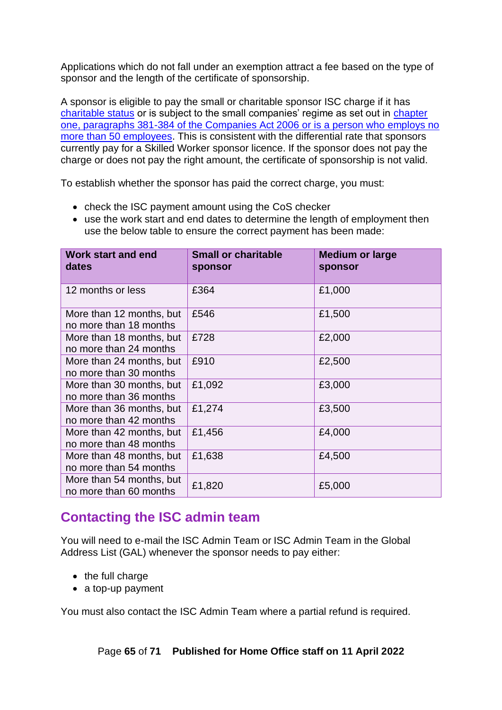Applications which do not fall under an exemption attract a fee based on the type of sponsor and the length of the certificate of sponsorship.

A sponsor is eligible to pay the small or charitable sponsor ISC charge if it has charitable status or is subject to the small companies' regime as set out in [chapter](http://www.legislation.gov.uk/ukpga/2006/46/part/15/chapter/1)  [one, paragraphs 381-384 of the Companies Act 2006](http://www.legislation.gov.uk/ukpga/2006/46/part/15/chapter/1) or is a person who employs no more than 50 employees. This is consistent with the differential rate that sponsors currently pay for a Skilled Worker sponsor licence. If the sponsor does not pay the charge or does not pay the right amount, the certificate of sponsorship is not valid.

To establish whether the sponsor has paid the correct charge, you must:

- check the ISC payment amount using the [CoS checker](http://aapbscos.poise.homeoffice.local/gui-coscheck-jsf/coscheck/CC-002-Home.faces)
- use the work start and end dates to determine the length of employment then use the below table to ensure the correct payment has been made:

| <b>Work start and end</b><br>dates                 | <b>Small or charitable</b><br>sponsor | <b>Medium or large</b><br>sponsor |
|----------------------------------------------------|---------------------------------------|-----------------------------------|
| 12 months or less                                  | £364                                  | £1,000                            |
| More than 12 months, but<br>no more than 18 months | £546                                  | £1,500                            |
| More than 18 months, but<br>no more than 24 months | £728                                  | £2,000                            |
| More than 24 months, but<br>no more than 30 months | £910                                  | £2,500                            |
| More than 30 months, but<br>no more than 36 months | £1,092                                | £3,000                            |
| More than 36 months, but<br>no more than 42 months | £1,274                                | £3,500                            |
| More than 42 months, but<br>no more than 48 months | £1,456                                | £4,000                            |
| More than 48 months, but<br>no more than 54 months | £1,638                                | £4,500                            |
| More than 54 months, but<br>no more than 60 months | £1,820                                | £5,000                            |

## <span id="page-64-1"></span><span id="page-64-0"></span>**Contacting the ISC admin team**

You will need to e-mail the ISC Admin Team or ISC Admin Team in the Global Address List (GAL) whenever the sponsor needs to pay either:

- the full charge
- a top-up payment

You must also contact the ISC Admin Team where a partial refund is required.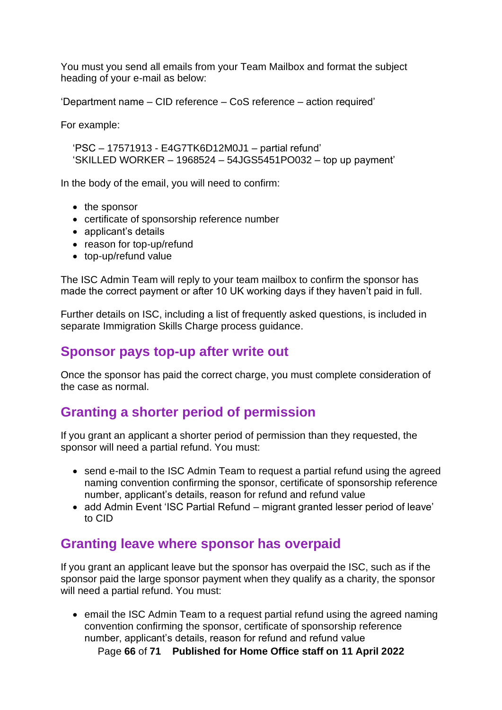You must you send all emails from your Team Mailbox and format the subject heading of your e-mail as below:

'Department name – CID reference – CoS reference – action required'

For example:

'PSC – 17571913 - E4G7TK6D12M0J1 – partial refund' 'SKILLED WORKER – 1968524 – 54JGS5451PO032 – top up payment'

In the body of the email, you will need to confirm:

- the sponsor
- certificate of sponsorship reference number
- applicant's details
- reason for top-up/refund
- top-up/refund value

The ISC Admin Team will reply to your team mailbox to confirm the sponsor has made the correct payment or after 10 UK working days if they haven't paid in full.

Further details on ISC, including a list of frequently asked questions, is included in separate Immigration Skills Charge process guidance.

### <span id="page-65-0"></span>**Sponsor pays top-up after write out**

Once the sponsor has paid the correct charge, you must complete consideration of the case as normal.

## <span id="page-65-1"></span>**Granting a shorter period of permission**

If you grant an applicant a shorter period of permission than they requested, the sponsor will need a partial refund. You must:

- send e-mail to the ISC Admin Team to request a partial refund using the agreed naming convention confirming the sponsor, certificate of sponsorship reference number, applicant's details, reason for refund and refund value
- add Admin Event 'ISC Partial Refund migrant granted lesser period of leave' to CID

## <span id="page-65-2"></span>**Granting leave where sponsor has overpaid**

If you grant an applicant leave but the sponsor has overpaid the ISC, such as if the sponsor paid the large sponsor payment when they qualify as a charity, the sponsor will need a partial refund. You must:

• email the ISC Admin Team to a request partial refund using the agreed naming convention confirming the sponsor, certificate of sponsorship reference number, applicant's details, reason for refund and refund value

Page **66** of **71 Published for Home Office staff on 11 April 2022**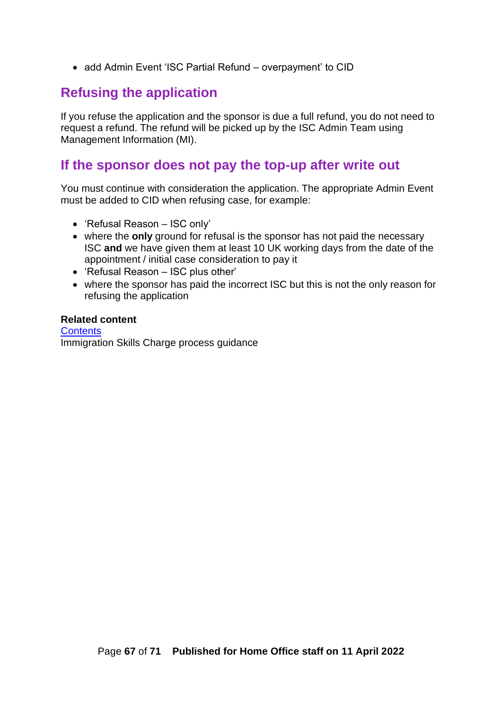• add Admin Event 'ISC Partial Refund – overpayment' to CID

### <span id="page-66-0"></span>**Refusing the application**

If you refuse the application and the sponsor is due a full refund, you do not need to request a refund. The refund will be picked up by the ISC Admin Team using Management Information (MI).

### <span id="page-66-1"></span>**If the sponsor does not pay the top-up after write out**

You must continue with consideration the application. The appropriate Admin Event must be added to CID when refusing case, for example:

- 'Refusal Reason ISC only'
- where the **only** ground for refusal is the sponsor has not paid the necessary ISC **and** we have given them at least 10 UK working days from the date of the appointment / initial case consideration to pay it
- 'Refusal Reason ISC plus other'
- where the sponsor has paid the incorrect ISC but this is not the only reason for refusing the application

#### **Related content**

**[Contents](#page-1-0)** Immigration Skills Charge process guidance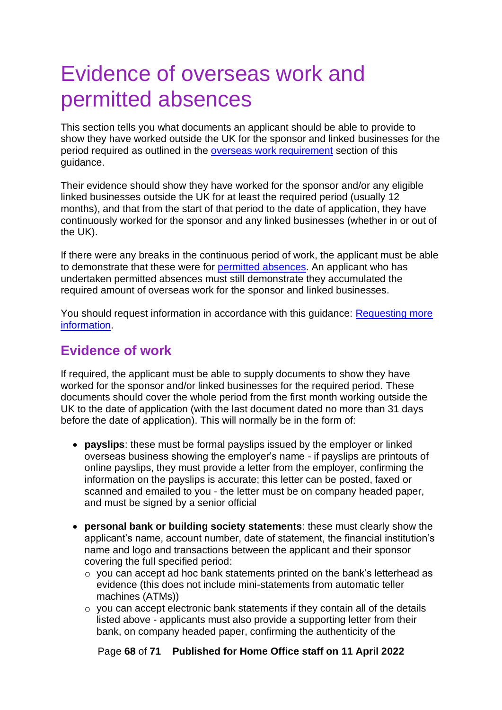# <span id="page-67-0"></span>Evidence of overseas work and permitted absences

This section tells you what documents an applicant should be able to provide to show they have worked outside the UK for the sponsor and linked businesses for the period required as outlined in the [overseas work requirement](#page-29-0) section of this guidance.

Their evidence should show they have worked for the sponsor and/or any eligible linked businesses outside the UK for at least the required period (usually 12 months), and that from the start of that period to the date of application, they have continuously worked for the sponsor and any linked businesses (whether in or out of the UK).

If there were any breaks in the continuous period of work, the applicant must be able to demonstrate that these were for [permitted absences.](#page-68-1) An applicant who has undertaken permitted absences must still demonstrate they accumulated the required amount of overseas work for the sponsor and linked businesses.

You should request information in accordance with this guidance: [Requesting more](#page-60-0)  [information.](#page-60-0)

## <span id="page-67-1"></span>**Evidence of work**

If required, the applicant must be able to supply documents to show they have worked for the sponsor and/or linked businesses for the required period. These documents should cover the whole period from the first month working outside the UK to the date of application (with the last document dated no more than 31 days before the date of application). This will normally be in the form of:

- **payslips**: these must be formal payslips issued by the employer or linked overseas business showing the employer's name - if payslips are printouts of online payslips, they must provide a letter from the employer, confirming the information on the payslips is accurate; this letter can be posted, faxed or scanned and emailed to you - the letter must be on company headed paper, and must be signed by a senior official
- **personal bank or building society statements**: these must clearly show the applicant's name, account number, date of statement, the financial institution's name and logo and transactions between the applicant and their sponsor covering the full specified period:
	- o you can accept ad hoc bank statements printed on the bank's letterhead as evidence (this does not include mini-statements from automatic teller machines (ATMs))
	- o you can accept electronic bank statements if they contain all of the details listed above - applicants must also provide a supporting letter from their bank, on company headed paper, confirming the authenticity of the

Page **68** of **71 Published for Home Office staff on 11 April 2022**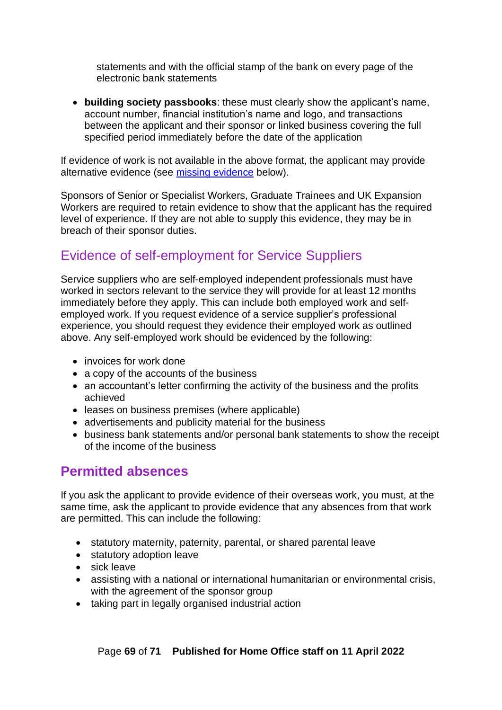statements and with the official stamp of the bank on every page of the electronic bank statements

• **building society passbooks**: these must clearly show the applicant's name, account number, financial institution's name and logo, and transactions between the applicant and their sponsor or linked business covering the full specified period immediately before the date of the application

If evidence of work is not available in the above format, the applicant may provide alternative evidence (see [missing evidence](#page-70-0) below).

Sponsors of Senior or Specialist Workers, Graduate Trainees and UK Expansion Workers are required to retain evidence to show that the applicant has the required level of experience. If they are not able to supply this evidence, they may be in breach of their sponsor duties.

## <span id="page-68-0"></span>Evidence of self-employment for Service Suppliers

Service suppliers who are self-employed independent professionals must have worked in sectors relevant to the service they will provide for at least 12 months immediately before they apply. This can include both employed work and selfemployed work. If you request evidence of a service supplier's professional experience, you should request they evidence their employed work as outlined above. Any self-employed work should be evidenced by the following:

- invoices for work done
- a copy of the accounts of the business
- an accountant's letter confirming the activity of the business and the profits achieved
- leases on business premises (where applicable)
- advertisements and publicity material for the business
- business bank statements and/or personal bank statements to show the receipt of the income of the business

## <span id="page-68-1"></span>**Permitted absences**

If you ask the applicant to provide evidence of their overseas work, you must, at the same time, ask the applicant to provide evidence that any absences from that work are permitted. This can include the following:

- statutory maternity, paternity, parental, or shared parental leave
- statutory adoption leave
- sick leave
- assisting with a national or international humanitarian or environmental crisis, with the agreement of the sponsor group
- taking part in legally organised industrial action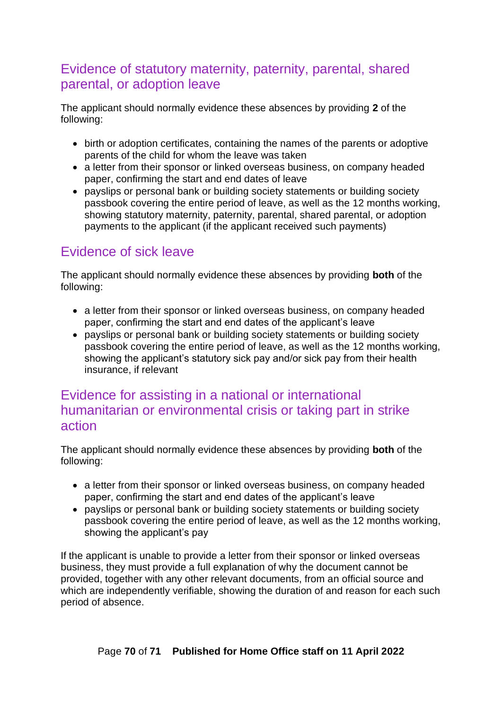## <span id="page-69-0"></span>Evidence of statutory maternity, paternity, parental, shared parental, or adoption leave

The applicant should normally evidence these absences by providing **2** of the following:

- birth or adoption certificates, containing the names of the parents or adoptive parents of the child for whom the leave was taken
- a letter from their sponsor or linked overseas business, on company headed paper, confirming the start and end dates of leave
- payslips or personal bank or building society statements or building society passbook covering the entire period of leave, as well as the 12 months working, showing statutory maternity, paternity, parental, shared parental, or adoption payments to the applicant (if the applicant received such payments)

## <span id="page-69-1"></span>Evidence of sick leave

The applicant should normally evidence these absences by providing **both** of the following:

- a letter from their sponsor or linked overseas business, on company headed paper, confirming the start and end dates of the applicant's leave
- payslips or personal bank or building society statements or building society passbook covering the entire period of leave, as well as the 12 months working, showing the applicant's statutory sick pay and/or sick pay from their health insurance, if relevant

## <span id="page-69-2"></span>Evidence for assisting in a national or international humanitarian or environmental crisis or taking part in strike action

The applicant should normally evidence these absences by providing **both** of the following:

- a letter from their sponsor or linked overseas business, on company headed paper, confirming the start and end dates of the applicant's leave
- payslips or personal bank or building society statements or building society passbook covering the entire period of leave, as well as the 12 months working, showing the applicant's pay

If the applicant is unable to provide a letter from their sponsor or linked overseas business, they must provide a full explanation of why the document cannot be provided, together with any other relevant documents, from an official source and which are independently verifiable, showing the duration of and reason for each such period of absence.